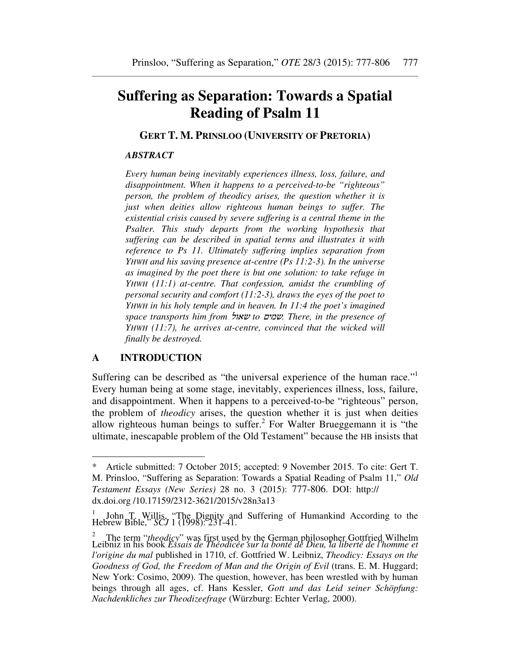# **Suffering as Separation: Towards a Spatial Reading of Psalm 11**

**GERT T. M. PRINSLOO (UNIVERSITY OF PRETORIA)** 

#### *ABSTRACT*

*Every human being inevitably experiences illness, loss, failure, and disappointment. When it happens to a perceived-to-be "righteous" person, the problem of theodicy arises, the question whether it is just when deities allow righteous human beings to suffer. The existential crisis caused by severe suffering is a central theme in the Psalter. This study departs from the working hypothesis that suffering can be described in spatial terms and illustrates it with reference to Ps 11. Ultimately suffering implies separation from YHWH and his saving presence at-centre (Ps 11:2-3). In the universe as imagined by the poet there is but one solution: to take refuge in YHWH (11:1) at-centre. That confession, amidst the crumbling of personal security and comfort (11:2-3), draws the eyes of the poet to YHWH in his holy temple and in heaven. In 11:4 the poet's imagined space transports him from* שאול *to* שמים*. There, in the presence of YHWH (11:7), he arrives at-centre, convinced that the wicked will finally be destroyed.* 

## **A INTRODUCTION**

Suffering can be described as "the universal experience of the human race."<sup>1</sup> Every human being at some stage, inevitably, experiences illness, loss, failure, and disappointment. When it happens to a perceived-to-be "righteous" person, the problem of *theodicy* arises, the question whether it is just when deities allow righteous human beings to suffer.<sup>2</sup> For Walter Brueggemann it is "the ultimate, inescapable problem of the Old Testament" because the HB insists that

Article submitted: 7 October 2015; accepted: 9 November 2015. To cite: Gert T. M. Prinsloo, "Suffering as Separation: Towards a Spatial Reading of Psalm 11," *Old Testament Essays (New Series)* 28 no. 3 (2015): 777-806. DOI: http:// dx.doi.org /10.17159/2312-3621/2015/v28n3a13

<sup>1</sup> John T. Willis, "The Dignity and Suffering of Humankind According to the Hebrew Bible," *SCJ* 1 (1998): 231-41.

<sup>&</sup>lt;sup>2</sup> The term "*theodicy*" was first used by the German philosopher Gottfried Wilhelm<br>Leibniz in his book *Essais de Théodicée sur la bonté de Dieu, la liberté de l'homme et l'origine du mal* published in 1710, cf. Gottfried W. Leibniz, *Theodicy: Essays on the Goodness of God, the Freedom of Man and the Origin of Evil* (trans. E. M. Huggard; New York: Cosimo, 2009). The question, however, has been wrestled with by human beings through all ages, cf. Hans Kessler, *Gott und das Leid seiner Schöpfung: Nachdenkliches zur Theodizeefrage* (Würzburg: Echter Verlag, 2000).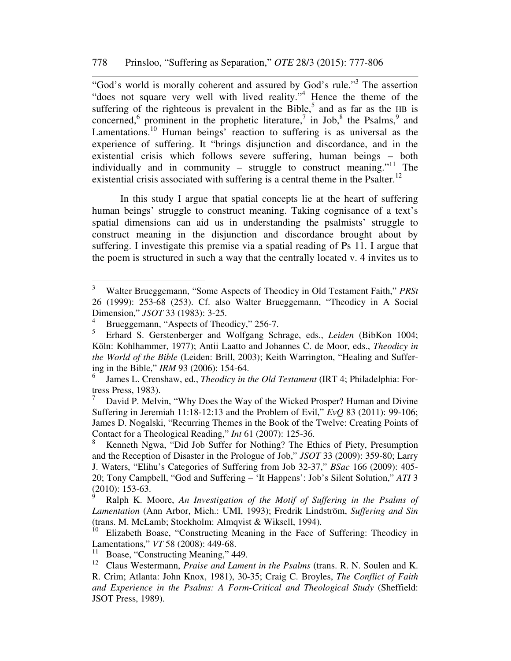"God's world is morally coherent and assured by God's rule."<sup>3</sup> The assertion "does not square very well with lived reality."<sup>4</sup> Hence the theme of the suffering of the righteous is prevalent in the Bible,<sup>5</sup> and as far as the HB is concerned,<sup>6</sup> prominent in the prophetic literature,<sup>7</sup> in Job,<sup>8</sup> the Psalms,<sup>9</sup> and Lamentations.<sup>10</sup> Human beings' reaction to suffering is as universal as the experience of suffering. It "brings disjunction and discordance, and in the existential crisis which follows severe suffering, human beings – both individually and in community – struggle to construct meaning."<sup>11</sup> The existential crisis associated with suffering is a central theme in the Psalter.<sup>12</sup>

In this study I argue that spatial concepts lie at the heart of suffering human beings' struggle to construct meaning. Taking cognisance of a text's spatial dimensions can aid us in understanding the psalmists' struggle to construct meaning in the disjunction and discordance brought about by suffering. I investigate this premise via a spatial reading of Ps 11. I argue that the poem is structured in such a way that the centrally located v. 4 invites us to

<sup>&</sup>lt;sup>2</sup><br>3 Walter Brueggemann, "Some Aspects of Theodicy in Old Testament Faith," *PRSt* 26 (1999): 253-68 (253). Cf. also Walter Brueggemann, "Theodicy in A Social Dimension," *JSOT* 33 (1983): 3-25.

<sup>4</sup> Brueggemann, "Aspects of Theodicy," 256-7.

<sup>5</sup> Erhard S. Gerstenberger and Wolfgang Schrage, eds., *Leiden* (BibKon 1004; Köln: Kohlhammer, 1977); Antii Laatto and Johannes C. de Moor, eds., *Theodicy in the World of the Bible* (Leiden: Brill, 2003); Keith Warrington, "Healing and Suffering in the Bible," *IRM* 93 (2006): 154-64.

<sup>6</sup> James L. Crenshaw, ed., *Theodicy in the Old Testament* (IRT 4; Philadelphia: Fortress Press, 1983).

<sup>7</sup> David P. Melvin, "Why Does the Way of the Wicked Prosper? Human and Divine Suffering in Jeremiah 11:18-12:13 and the Problem of Evil," *EvQ* 83 (2011): 99-106; James D. Nogalski, "Recurring Themes in the Book of the Twelve: Creating Points of Contact for a Theological Reading," *Int* 61 (2007): 125-36.

<sup>8</sup> Kenneth Ngwa, "Did Job Suffer for Nothing? The Ethics of Piety, Presumption and the Reception of Disaster in the Prologue of Job," *JSOT* 33 (2009): 359-80; Larry J. Waters, "Elihu's Categories of Suffering from Job 32-37," *BSac* 166 (2009): 405- 20; Tony Campbell, "God and Suffering – 'It Happens': Job's Silent Solution," *ATI* 3  $(2010): 153-63.$ 

Ralph K. Moore, *An Investigation of the Motif of Suffering in the Psalms of Lamentation* (Ann Arbor, Mich.: UMI, 1993); Fredrik Lindström, *Suffering and Sin* (trans. M. McLamb; Stockholm: Almqvist & Wiksell, 1994).

<sup>10</sup> Elizabeth Boase, "Constructing Meaning in the Face of Suffering: Theodicy in Lamentations," *VT* 58 (2008): 449-68.

<sup>&</sup>lt;sup>11</sup> Boase, "Constructing Meaning," 449.

<sup>12</sup> Claus Westermann, *Praise and Lament in the Psalms* (trans. R. N. Soulen and K. R. Crim; Atlanta: John Knox, 1981), 30-35; Craig C. Broyles, *The Conflict of Faith and Experience in the Psalms: A Form-Critical and Theological Study* (Sheffield: JSOT Press, 1989).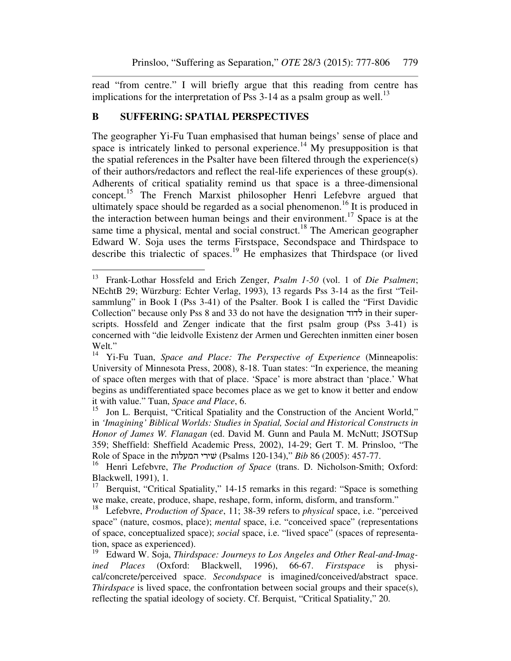read "from centre." I will briefly argue that this reading from centre has implications for the interpretation of Pss  $3-14$  as a psalm group as well.<sup>13</sup>

## **B SUFFERING: SPATIAL PERSPECTIVES**

 $\overline{a}$ 

The geographer Yi-Fu Tuan emphasised that human beings' sense of place and space is intricately linked to personal experience.<sup>14</sup> My presupposition is that the spatial references in the Psalter have been filtered through the experience(s) of their authors/redactors and reflect the real-life experiences of these group(s). Adherents of critical spatiality remind us that space is a three-dimensional concept.<sup>15</sup> The French Marxist philosopher Henri Lefebvre argued that ultimately space should be regarded as a social phenomenon.<sup>16</sup> It is produced in the interaction between human beings and their environment.<sup>17</sup> Space is at the same time a physical, mental and social construct.<sup>18</sup> The American geographer Edward W. Soja uses the terms Firstspace, Secondspace and Thirdspace to describe this trialectic of spaces.<sup>19</sup> He emphasizes that Thirdspace (or lived

<sup>13</sup> Frank-Lothar Hossfeld and Erich Zenger, *Psalm 1-50* (vol. 1 of *Die Psalmen*; NEchtB 29; Würzburg: Echter Verlag, 1993), 13 regards Pss 3-14 as the first "Teilsammlung" in Book I (Pss 3-41) of the Psalter. Book I is called the "First Davidic Collection" because only Pss 8 and 33 do not have the designation לדוד in their superscripts. Hossfeld and Zenger indicate that the first psalm group (Pss 3-41) is concerned with "die leidvolle Existenz der Armen und Gerechten inmitten einer bosen Welt."<br> $V_1^1$ 

<sup>14</sup> Yi-Fu Tuan, *Space and Place: The Perspective of Experience* (Minneapolis: University of Minnesota Press, 2008), 8-18. Tuan states: "In experience, the meaning of space often merges with that of place. 'Space' is more abstract than 'place.' What begins as undifferentiated space becomes place as we get to know it better and endow it with value." Tuan, *Space and Place*, 6.

<sup>15</sup> Jon L. Berquist, "Critical Spatiality and the Construction of the Ancient World," in *'Imagining' Biblical Worlds: Studies in Spatial, Social and Historical Constructs in Honor of James W. Flanagan* (ed. David M. Gunn and Paula M. McNutt; JSOTSup 359; Sheffield: Sheffield Academic Press, 2002), 14-29; Gert T. M. Prinsloo, "The Role of Space in the המעלות שׁירי) Psalms 120-134)," *Bib* 86 (2005): 457-77.

<sup>&</sup>lt;sup>16</sup> Henri Lefebvre, *The Production of Space* (trans. D. Nicholson-Smith; Oxford: Blackwell, 1991), 1.<br> $^{17}$  Berquist "Critics"

Berquist, "Critical Spatiality," 14-15 remarks in this regard: "Space is something we make, create, produce, shape, reshape, form, inform, disform, and transform."

<sup>18</sup> Lefebvre, *Production of Space*, 11; 38-39 refers to *physical* space, i.e. "perceived space" (nature, cosmos, place); *mental* space, i.e. "conceived space" (representations of space, conceptualized space); *social* space, i.e. "lived space" (spaces of representation, space as experienced).

<sup>19</sup> Edward W. Soja, *Thirdspace: Journeys to Los Angeles and Other Real-and-Imagined Places* (Oxford: Blackwell, 1996), 66-67. *Firstspace* is physical/concrete/perceived space. *Secondspace* is imagined/conceived/abstract space. *Thirdspace* is lived space, the confrontation between social groups and their space(s), reflecting the spatial ideology of society. Cf. Berquist, "Critical Spatiality," 20.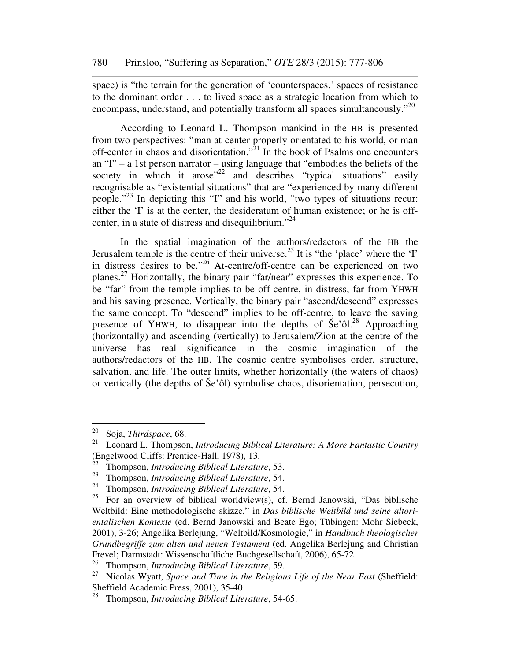space) is "the terrain for the generation of 'counterspaces,' spaces of resistance to the dominant order . . . to lived space as a strategic location from which to encompass, understand, and potentially transform all spaces simultaneously."<sup>20</sup>

According to Leonard L. Thompson mankind in the HB is presented from two perspectives: "man at-center properly orientated to his world, or man off-center in chaos and disorientation."<sup>21</sup> In the book of Psalms one encounters an "I" – a 1st person narrator – using language that "embodies the beliefs of the society in which it arose $12^2$  and describes "typical situations" easily recognisable as "existential situations" that are "experienced by many different people."<sup>23</sup> In depicting this "I" and his world, "two types of situations recur: either the 'I' is at the center, the desideratum of human existence; or he is offcenter, in a state of distress and disequilibrium."<sup>24</sup>

In the spatial imagination of the authors/redactors of the HB the Jerusalem temple is the centre of their universe.<sup>25</sup> It is "the 'place' where the 'I' in distress desires to be."<sup>26</sup> At-centre/off-centre can be experienced on two planes.<sup>27</sup> Horizontally, the binary pair "far/near" expresses this experience. To be "far" from the temple implies to be off-centre, in distress, far from YHWH and his saving presence. Vertically, the binary pair "ascend/descend" expresses the same concept. To "descend" implies to be off-centre, to leave the saving presence of YHWH, to disappear into the depths of  $\text{\AA}e^{\text{28}}$  Approaching (horizontally) and ascending (vertically) to Jerusalem/Zion at the centre of the universe has real significance in the cosmic imagination of the authors/redactors of the HB. The cosmic centre symbolises order, structure, salvation, and life. The outer limits, whether horizontally (the waters of chaos) or vertically (the depths of Še'ôl) symbolise chaos, disorientation, persecution,

<sup>20</sup> <sup>20</sup> Soja, *Thirdspace*, 68.

<sup>21</sup> Leonard L. Thompson, *Introducing Biblical Literature: A More Fantastic Country* (Engelwood Cliffs: Prentice-Hall, 1978), 13.

<sup>22</sup> Thompson, *Introducing Biblical Literature*, 53.

<sup>23</sup> Thompson, *Introducing Biblical Literature*, 54.

<sup>24</sup> Thompson, *Introducing Biblical Literature*, 54.

<sup>&</sup>lt;sup>25</sup> For an overview of biblical worldview(s), cf. Bernd Janowski, "Das biblische Weltbild: Eine methodologische skizze," in *Das biblische Weltbild und seine altorientalischen Kontexte* (ed. Bernd Janowski and Beate Ego; Tübingen: Mohr Siebeck, 2001), 3-26; Angelika Berlejung, "Weltbild/Kosmologie," in *Handbuch theologischer Grundbegriffe zum alten und neuen Testament* (ed. Angelika Berlejung and Christian Frevel; Darmstadt: Wissenschaftliche Buchgesellschaft, 2006), 65-72.

<sup>26</sup> Thompson, *Introducing Biblical Literature*, 59.

<sup>27</sup> Nicolas Wyatt, *Space and Time in the Religious Life of the Near East* (Sheffield: Sheffield Academic Press, 2001), 35-40.

<sup>28</sup> Thompson, *Introducing Biblical Literature*, 54-65.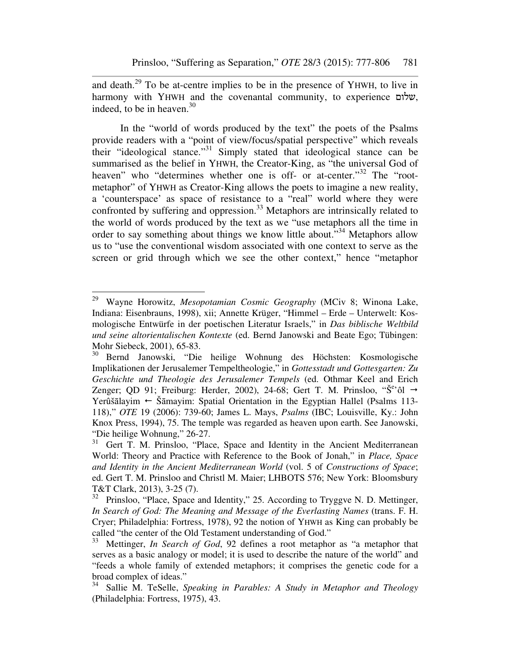and death.<sup>29</sup> To be at-centre implies to be in the presence of YHWH, to live in harmony with YHWH and the covenantal community, to experience שלום, indeed, to be in heaven.<sup>30</sup>

In the "world of words produced by the text" the poets of the Psalms provide readers with a "point of view/focus/spatial perspective" which reveals their "ideological stance."<sup>31</sup> Simply stated that ideological stance can be summarised as the belief in YHWH, the Creator-King, as "the universal God of heaven" who "determines whether one is off- or at-center."<sup>32</sup> The "rootmetaphor" of YHWH as Creator-King allows the poets to imagine a new reality, a 'counterspace' as space of resistance to a "real" world where they were confronted by suffering and oppression.<sup>33</sup> Metaphors are intrinsically related to the world of words produced by the text as we "use metaphors all the time in order to say something about things we know little about."<sup>34</sup> Metaphors allow us to "use the conventional wisdom associated with one context to serve as the screen or grid through which we see the other context," hence "metaphor

<sup>29</sup> Wayne Horowitz, *Mesopotamian Cosmic Geography* (MCiv 8; Winona Lake, Indiana: Eisenbrauns, 1998), xii; Annette Krüger, "Himmel – Erde – Unterwelt: Kosmologische Entwürfe in der poetischen Literatur Israels," in *Das biblische Weltbild und seine altorientalischen Kontexte* (ed. Bernd Janowski and Beate Ego; Tübingen: Mohr Siebeck, 2001), 65-83.<br><sup>30</sup> Bernd Janowski "Die

<sup>30</sup> Bernd Janowski, "Die heilige Wohnung des Höchsten: Kosmologische Implikationen der Jerusalemer Tempeltheologie," in *Gottesstadt und Gottesgarten: Zu Geschichte und Theologie des Jerusalemer Tempels* (ed. Othmar Keel and Erich Zenger; QD 91; Freiburg: Herder, 2002), 24-68; Gert T. M. Prinsloo, " $\check{S}^{e}$ " od  $\rightarrow$ Yerûšālayim  $\leftarrow$  Šāmayim: Spatial Orientation in the Egyptian Hallel (Psalms 113-118)," *OTE* 19 (2006): 739-60; James L. Mays, *Psalms* (IBC; Louisville, Ky.: John Knox Press, 1994), 75. The temple was regarded as heaven upon earth. See Janowski, "Die heilige Wohnung," 26-27.

<sup>&</sup>lt;sup>31</sup> Gert T. M. Prinsloo, "Place, Space and Identity in the Ancient Mediterranean World: Theory and Practice with Reference to the Book of Jonah," in *Place, Space and Identity in the Ancient Mediterranean World* (vol. 5 of *Constructions of Space*; ed. Gert T. M. Prinsloo and Christl M. Maier; LHBOTS 576; New York: Bloomsbury T&T Clark, 2013), 3-25 (7).<br><sup>32</sup> Prinsloo "Place Space a

Prinsloo, "Place, Space and Identity," 25. According to Tryggve N. D. Mettinger, *In Search of God: The Meaning and Message of the Everlasting Names* (trans. F. H. Cryer; Philadelphia: Fortress, 1978), 92 the notion of YHWH as King can probably be called "the center of the Old Testament understanding of God."

<sup>&</sup>lt;sup>33</sup> Mettinger, *In Search of God*, 92 defines a root metaphor as "a metaphor that serves as a basic analogy or model; it is used to describe the nature of the world" and "feeds a whole family of extended metaphors; it comprises the genetic code for a broad complex of ideas."

<sup>34</sup> Sallie M. TeSelle, *Speaking in Parables: A Study in Metaphor and Theology* (Philadelphia: Fortress, 1975), 43.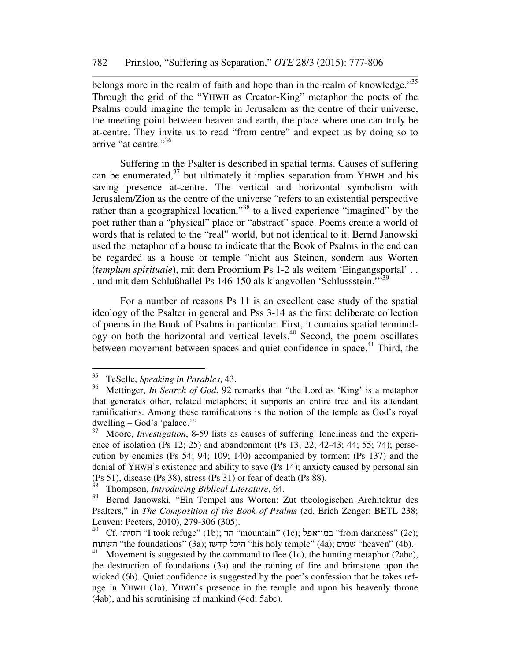belongs more in the realm of faith and hope than in the realm of knowledge."<sup>35</sup> Through the grid of the "YHWH as Creator-King" metaphor the poets of the Psalms could imagine the temple in Jerusalem as the centre of their universe, the meeting point between heaven and earth, the place where one can truly be at-centre. They invite us to read "from centre" and expect us by doing so to arrive "at centre."<sup>36</sup>

Suffering in the Psalter is described in spatial terms. Causes of suffering can be enumerated,<sup>37</sup> but ultimately it implies separation from YHWH and his saving presence at-centre. The vertical and horizontal symbolism with Jerusalem/Zion as the centre of the universe "refers to an existential perspective rather than a geographical location,"<sup>38</sup> to a lived experience "imagined" by the poet rather than a "physical" place or "abstract" space. Poems create a world of words that is related to the "real" world, but not identical to it. Bernd Janowski used the metaphor of a house to indicate that the Book of Psalms in the end can be regarded as a house or temple "nicht aus Steinen, sondern aus Worten (*templum spirituale*), mit dem Proömium Ps 1-2 als weitem 'Eingangsportal' . . . und mit dem Schlußhallel Ps 146-150 als klangvollen 'Schlussstein.'"<sup>39</sup>

For a number of reasons Ps 11 is an excellent case study of the spatial ideology of the Psalter in general and Pss 3-14 as the first deliberate collection of poems in the Book of Psalms in particular. First, it contains spatial terminol- $\log y$  on both the horizontal and vertical levels.<sup>40</sup> Second, the poem oscillates between movement between spaces and quiet confidence in space.<sup>41</sup> Third, the

<sup>35</sup> TeSelle, *Speaking in Parables*, 43.

<sup>36</sup> Mettinger, *In Search of God*, 92 remarks that "the Lord as 'King' is a metaphor that generates other, related metaphors; it supports an entire tree and its attendant ramifications. Among these ramifications is the notion of the temple as God's royal dwelling – God's 'palace.'"

<sup>37</sup> Moore, *Investigation*, 8-59 lists as causes of suffering: loneliness and the experience of isolation (Ps 12; 25) and abandonment (Ps 13; 22; 42-43; 44; 55; 74); persecution by enemies (Ps 54; 94; 109; 140) accompanied by torment (Ps 137) and the denial of YHWH's existence and ability to save (Ps 14); anxiety caused by personal sin (Ps 51), disease (Ps 38), stress (Ps 31) or fear of death (Ps 88).<br> $\frac{38}{28}$ . Thompson, *Introducing Biblical Literature* 64

<sup>38</sup> Thompson, *Introducing Biblical Literature*, 64.

<sup>39</sup> Bernd Janowski, "Ein Tempel aus Worten: Zut theologischen Architektur des Psalters," in *The Composition of the Book of Psalms* (ed. Erich Zenger; BETL 238; Leuven: Peeters, 2010), 279-306 (305).

 $^{40}$  Cf. במו־אפל "I took refuge" (1b); הר $\,$ "mountain" (1c); במו־אפל "from darkness" (2c); השתות (4b). היכל קדשו (3a); היכל קדשו היכל היכל היכל the foundations" (3a); השתות "heaven" (4b).

<sup>&</sup>lt;sup>41</sup> Movement is suggested by the command to flee  $(1c)$ , the hunting metaphor  $(2abc)$ , the destruction of foundations (3a) and the raining of fire and brimstone upon the wicked (6b). Quiet confidence is suggested by the poet's confession that he takes refuge in YHWH (1a), YHWH's presence in the temple and upon his heavenly throne (4ab), and his scrutinising of mankind (4cd; 5abc).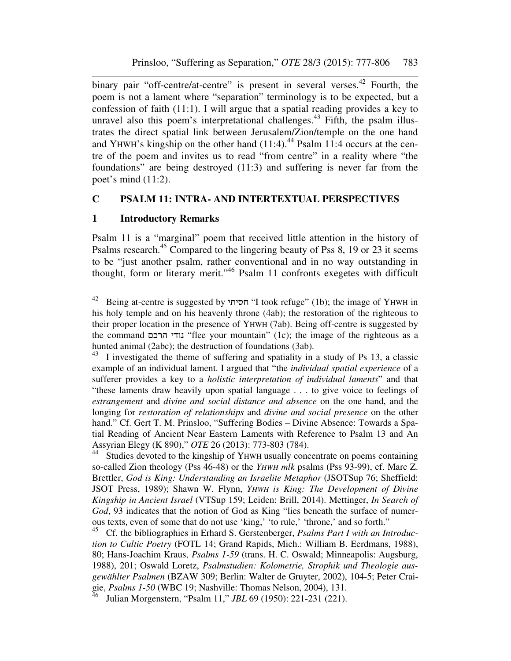binary pair "off-centre/at-centre" is present in several verses.<sup>42</sup> Fourth, the poem is not a lament where "separation" terminology is to be expected, but a confession of faith (11:1). I will argue that a spatial reading provides a key to unravel also this poem's interpretational challenges.<sup>43</sup> Fifth, the psalm illustrates the direct spatial link between Jerusalem/Zion/temple on the one hand and YHWH's kingship on the other hand  $(11:4)$ .<sup>44</sup> Psalm 11:4 occurs at the centre of the poem and invites us to read "from centre" in a reality where "the foundations" are being destroyed (11:3) and suffering is never far from the poet's mind (11:2).

#### **C PSALM 11: INTRA- AND INTERTEXTUAL PERSPECTIVES**

#### **1 Introductory Remarks**

 $\overline{a}$ 

Psalm 11 is a "marginal" poem that received little attention in the history of Psalms research.<sup>45</sup> Compared to the lingering beauty of Pss 8, 19 or 23 it seems to be "just another psalm, rather conventional and in no way outstanding in thought, form or literary merit."<sup>46</sup> Psalm 11 confronts exegetes with difficult

 $42$  Being at-centre is suggested by חסיתי "I took refuge" (1b); the image of YHWH in his holy temple and on his heavenly throne (4ab); the restoration of the righteous to their proper location in the presence of YHWH (7ab). Being off-centre is suggested by the command נודי הרכם "flee your mountain" (1c); the image of the righteous as a hunted animal (2abc); the destruction of foundations (3ab).

<sup>&</sup>lt;sup>43</sup> I investigated the theme of suffering and spatiality in a study of Ps 13, a classic example of an individual lament. I argued that "the *individual spatial experience* of a sufferer provides a key to a *holistic interpretation of individual laments*" and that "these laments draw heavily upon spatial language . . . to give voice to feelings of *estrangement* and *divine and social distance and absence* on the one hand, and the longing for *restoration of relationships* and *divine and social presence* on the other hand." Cf. Gert T. M. Prinsloo, "Suffering Bodies – Divine Absence: Towards a Spatial Reading of Ancient Near Eastern Laments with Reference to Psalm 13 and An Assyrian Elegy (K 890)," *OTE* 26 (2013): 773-803 (784).

<sup>44</sup> Studies devoted to the kingship of YHWH usually concentrate on poems containing so-called Zion theology (Pss 46-48) or the *YHWH mlk* psalms (Pss 93-99), cf. Marc Z. Brettler, *God is King: Understanding an Israelite Metaphor* (JSOTSup 76; Sheffield: JSOT Press, 1989); Shawn W. Flynn, *YHWH is King: The Development of Divine Kingship in Ancient Israel* (VTSup 159; Leiden: Brill, 2014). Mettinger, *In Search of God*, 93 indicates that the notion of God as King "lies beneath the surface of numerous texts, even of some that do not use 'king,' 'to rule,' 'throne,' and so forth."

<sup>45</sup> Cf. the bibliographies in Erhard S. Gerstenberger, *Psalms Part I with an Introduction to Cultic Poetry* (FOTL 14; Grand Rapids, Mich.: William B. Eerdmans, 1988), 80; Hans-Joachim Kraus, *Psalms 1-59* (trans. H. C. Oswald; Minneapolis: Augsburg, 1988), 201; Oswald Loretz, *Psalmstudien: Kolometrie, Strophik und Theologie ausgewählter Psalmen* (BZAW 309; Berlin: Walter de Gruyter, 2002), 104-5; Peter Craigie, *Psalms 1-50* (WBC 19; Nashville: Thomas Nelson, 2004), 131.

<sup>46</sup> Julian Morgenstern, "Psalm 11," *JBL* 69 (1950): 221-231 (221).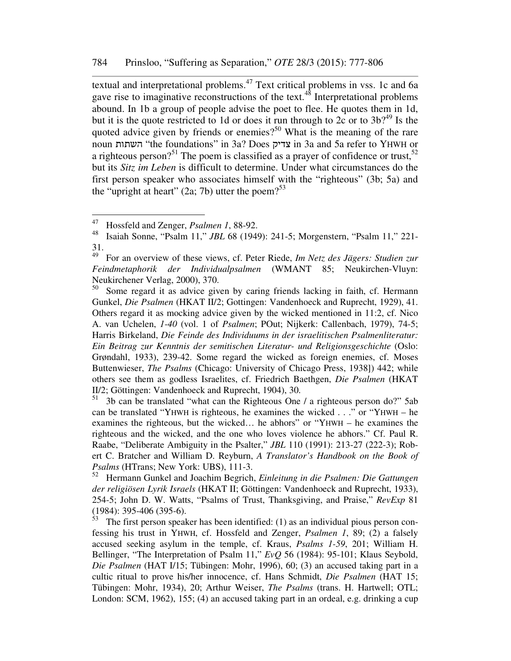textual and interpretational problems.<sup>47</sup> Text critical problems in vss. 1c and 6a gave rise to imaginative reconstructions of the text.<sup>48</sup> Interpretational problems abound. In 1b a group of people advise the poet to flee. He quotes them in 1d, but it is the quote restricted to 1d or does it run through to 2c or to  $3b$ <sup>49</sup> Is the quoted advice given by friends or enemies?<sup>50</sup> What is the meaning of the rare noun השתות" the foundations" in 3a? Does צדיק in 3a and 5a refer to YHWH or a righteous person?<sup>51</sup> The poem is classified as a prayer of confidence or trust,<sup>52</sup> but its *Sitz im Leben* is difficult to determine. Under what circumstances do the first person speaker who associates himself with the "righteous" (3b; 5a) and the "upright at heart" (2a; 7b) utter the poem? $53$ 

<sup>51</sup> 3b can be translated "what can the Righteous One / a righteous person do?" 5ab can be translated "YHWH is righteous, he examines the wicked . . ." or "YHWH – he examines the righteous, but the wicked… he abhors" or "YHWH – he examines the righteous and the wicked, and the one who loves violence he abhors." Cf. Paul R. Raabe, "Deliberate Ambiguity in the Psalter," *JBL* 110 (1991): 213-27 (222-3); Robert C. Bratcher and William D. Reyburn, *A Translator's Handbook on the Book of Psalms* (HTrans; New York: UBS), 111-3.

<sup>52</sup> Hermann Gunkel and Joachim Begrich, *Einleitung in die Psalmen: Die Gattungen der religiösen Lyrik Israels* (HKAT II; Göttingen: Vandenhoeck and Ruprecht, 1933), 254-5; John D. W. Watts, "Psalms of Trust, Thanksgiving, and Praise," *RevExp* 81 (1984): 395-406 (395-6).

 $\frac{53}{10}$  The first person speaker has been identified: (1) as an individual pious person confessing his trust in YHWH, cf. Hossfeld and Zenger, *Psalmen 1*, 89; (2) a falsely accused seeking asylum in the temple, cf. Kraus, *Psalms 1-59*, 201; William H. Bellinger, "The Interpretation of Psalm 11," *EvQ* 56 (1984): 95-101; Klaus Seybold, *Die Psalmen* (HAT I/15; Tübingen: Mohr, 1996), 60; (3) an accused taking part in a cultic ritual to prove his/her innocence, cf. Hans Schmidt, *Die Psalmen* (HAT 15; Tübingen: Mohr, 1934), 20; Arthur Weiser, *The Psalms* (trans. H. Hartwell; OTL; London: SCM, 1962), 155; (4) an accused taking part in an ordeal, e.g. drinking a cup

<sup>&</sup>lt;sup>47</sup> Hossfeld and Zenger, *Psalmen 1*, 88-92.<br><sup>48</sup> Isaiah Sonne "Psalm 11" *IRL 68* (1949)

<sup>48</sup> Isaiah Sonne, "Psalm 11," *JBL* 68 (1949): 241-5; Morgenstern, "Psalm 11," 221- 31.

<sup>49</sup> For an overview of these views, cf. Peter Riede, *Im Netz des Jägers: Studien zur Feindmetaphorik der Individualpsalmen* (WMANT 85; Neukirchen-Vluyn: Neukirchener Verlag, 2000), 370.

<sup>&</sup>lt;sup>50</sup> Some regard it as advice given by caring friends lacking in faith, cf. Hermann Gunkel, *Die Psalmen* (HKAT II/2; Gottingen: Vandenhoeck and Ruprecht, 1929), 41. Others regard it as mocking advice given by the wicked mentioned in 11:2, cf. Nico A. van Uchelen, *1-40* (vol. 1 of *Psalmen*; POut; Nijkerk: Callenbach, 1979), 74-5; Harris Birkeland, *Die Feinde des Individuums in der israelitischen Psalmenliteratur: Ein Beitrag zur Kenntnis der semitischen Literatur- und Religionsgeschichte* (Oslo: Grøndahl, 1933), 239-42. Some regard the wicked as foreign enemies, cf. Moses Buttenwieser, *The Psalms* (Chicago: University of Chicago Press, 1938]) 442; while others see them as godless Israelites, cf. Friedrich Baethgen, *Die Psalmen* (HKAT II/2; Göttingen: Vandenhoeck and Ruprecht, 1904), 30.<br><sup>51</sup> 3b can be translated "what can the Righteous One"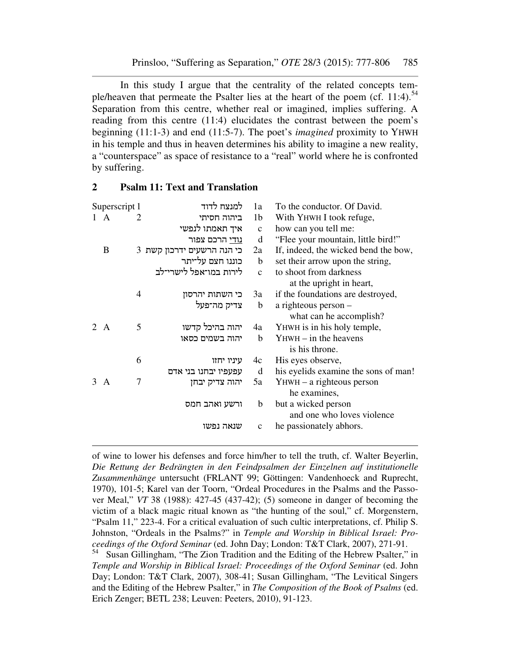In this study I argue that the centrality of the related concepts temple/heaven that permeate the Psalter lies at the heart of the poem (cf. 11:4).<sup>54</sup> Separation from this centre, whether real or imagined, implies suffering. A reading from this centre (11:4) elucidates the contrast between the poem's beginning (11:1-3) and end (11:5-7). The poet's *imagined* proximity to YHWH in his temple and thus in heaven determines his ability to imagine a new reality, a "counterspace" as space of resistance to a "real" world where he is confronted by suffering.

| Superscript 1               |              |   | למנצח לדוד                 | 1a             | To the conductor. Of David.          |  |  |  |
|-----------------------------|--------------|---|----------------------------|----------------|--------------------------------------|--|--|--|
|                             | $\mathsf{A}$ | 2 | ביהוה חסיתי                | 1 <sub>b</sub> | With YHWH I took refuge,             |  |  |  |
|                             |              |   | איך תאמתו לנפשי            | $\mathbf{C}$   | how can you tell me:                 |  |  |  |
|                             |              |   | <u>נודי</u> הרכם צפור      | d              | "Flee your mountain, little bird!"   |  |  |  |
|                             | B            |   | כי הנה הרשעים ידרכון קשת 3 | 2a             | If, indeed, the wicked bend the bow, |  |  |  |
|                             |              |   | כוננו חצם על־יתר           | b              | set their arrow upon the string,     |  |  |  |
|                             |              |   | לירות במו־אפל לישרי־לב     | $\mathcal{C}$  | to shoot from darkness               |  |  |  |
|                             |              |   |                            |                | at the upright in heart,             |  |  |  |
|                             |              | 4 | כי השתות יהרסון            | 3a             | if the foundations are destroyed,    |  |  |  |
|                             |              |   | צדיק מה־פעל                | b              | a righteous person -                 |  |  |  |
|                             |              |   |                            |                | what can he accomplish?              |  |  |  |
| $\mathcal{D}_{\mathcal{L}}$ | $\mathbf{A}$ | 5 | יהוה בהיכל קדשו            | 4a             | YHWH is in his holy temple,          |  |  |  |
|                             |              |   | יהוה בשמים כסאו            | b              | $Y$ HWH $-$ in the heavens           |  |  |  |
|                             |              |   |                            |                | is his throne.                       |  |  |  |
|                             |              | 6 | עיניו יחזו                 | 4c             | His eyes observe,                    |  |  |  |
|                             |              |   | עפעפיו יבחנו בני אדם       | d              | his eyelids examine the sons of man! |  |  |  |
| 3                           | A            | 7 | יהוה צדיק יבחן             | 5a             | $Y$ HWH $-$ a righteous person       |  |  |  |
|                             |              |   |                            |                | he examines,                         |  |  |  |
|                             |              |   | ורשע ואהב חמס              | b              | but a wicked person                  |  |  |  |
|                             |              |   |                            |                | and one who loves violence           |  |  |  |
|                             |              |   | שנאה נפשו                  | $\mathbf c$    | he passionately abhors.              |  |  |  |
|                             |              |   |                            |                |                                      |  |  |  |

#### **2 Psalm 11: Text and Translation**

 $\overline{a}$ 

of wine to lower his defenses and force him/her to tell the truth, cf. Walter Beyerlin, *Die Rettung der Bedrängten in den Feindpsalmen der Einzelnen auf institutionelle Zusammenhänge* untersucht (FRLANT 99; Göttingen: Vandenhoeck and Ruprecht, 1970), 101-5; Karel van der Toorn, "Ordeal Procedures in the Psalms and the Passover Meal," *VT* 38 (1988): 427-45 (437-42); (5) someone in danger of becoming the victim of a black magic ritual known as "the hunting of the soul," cf. Morgenstern, "Psalm 11," 223-4. For a critical evaluation of such cultic interpretations, cf. Philip S. Johnston, "Ordeals in the Psalms?" in *Temple and Worship in Biblical Israel: Proceedings of the Oxford Seminar* (ed. John Day; London: T&T Clark, 2007), 271-91.

<sup>54</sup> Susan Gillingham, "The Zion Tradition and the Editing of the Hebrew Psalter," in *Temple and Worship in Biblical Israel: Proceedings of the Oxford Seminar* (ed. John Day; London: T&T Clark, 2007), 308-41; Susan Gillingham, "The Levitical Singers and the Editing of the Hebrew Psalter," in *The Composition of the Book of Psalms* (ed. Erich Zenger; BETL 238; Leuven: Peeters, 2010), 91-123.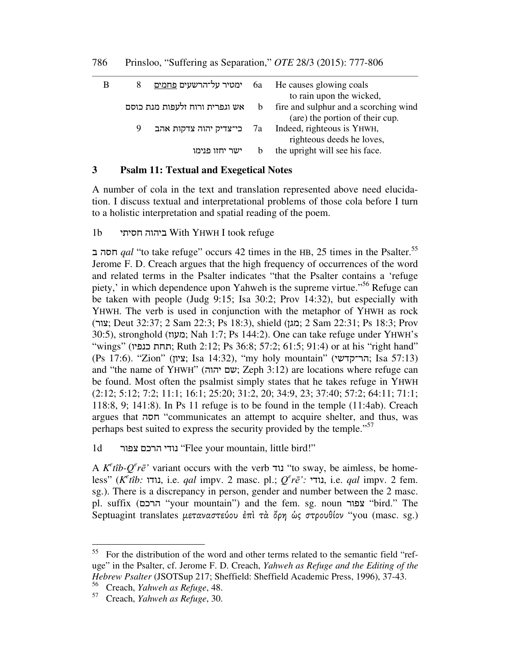| B |                | ימטיר על־הרשעים <u>פחמים</u> 6a He causes glowing coals                |  |  |
|---|----------------|------------------------------------------------------------------------|--|--|
|   |                | to rain upon the wicked,                                               |  |  |
|   |                | אש וגפרית ורוח זלעפות מנת כוסם b fire and sulphur and a scorching wind |  |  |
|   |                | (are) the portion of their cup.                                        |  |  |
|   | 9              | בי־צדיק יהוה צדקות אהב $7a$ Indeed, righteous is YHWH,                 |  |  |
|   |                | righteous deeds he loves,                                              |  |  |
|   | ישר יחזו פנימו | the upright will see his face.                                         |  |  |

## **3 Psalm 11: Textual and Exegetical Notes**

A number of cola in the text and translation represented above need elucidation. I discuss textual and interpretational problems of those cola before I turn to a holistic interpretation and spatial reading of the poem.

#### 1b חסיתי ביהוה With YHWH I took refuge

חסה ב  $qal$  "to take refuge" occurs 42 times in the HB, 25 times in the Psalter.<sup>55</sup> Jerome F. D. Creach argues that the high frequency of occurrences of the word and related terms in the Psalter indicates "that the Psalter contains a 'refuge piety,' in which dependence upon Yahweh is the supreme virtue."<sup>56</sup> Refuge can be taken with people (Judg 9:15; Isa 30:2; Prov 14:32), but especially with YHWH. The verb is used in conjunction with the metaphor of YHWH as rock (צור ;Deut 32:37; 2 Sam 22:3; Ps 18:3), shield (מגן ;2 Sam 22:31; Ps 18:3; Prov 30:5), stronghold (מעוז; Nah 1:7; Ps 144:2). One can take refuge under YHWH's "wings" (תחת כנפיו; Ruth 2:12; Ps 36:8; 57:2; 61:5; 91:4) or at his "right hand" (Ps 17:6). "Zion" (ציון;Isa 14:32), "my holy mountain" (הר־קדשי;Isa 57:13) and "the name of YHWH" (ישם יהוה; Zeph 3:12) are locations where refuge can be found. Most often the psalmist simply states that he takes refuge in YHWH (2:12; 5:12; 7:2; 11:1; 16:1; 25:20; 31:2, 20; 34:9, 23; 37:40; 57:2; 64:11; 71:1; 118:8, 9; 141:8). In Ps 11 refuge is to be found in the temple (11:4ab). Creach argues that חסה" communicates an attempt to acquire shelter, and thus, was perhaps best suited to express the security provided by the temple."<sup>57</sup>

1d נודי הרכם צפור "Flee your mountain, little bird!"

A *K<sup>e</sup>tîb-Q<sup>e</sup>rē*<sup>*'*</sup> variant occurs with the verb נוד "to sway, be aimless, be homeless" (*K e tîb:* נודו, i.e. *qal* impv. 2 masc. pl.; *Q e rē':* נודי, i.e. *qal* impv. 2 fem. sg.). There is a discrepancy in person, gender and number between the 2 masc. pl. suffix (הרכם" your mountain") and the fem. sg. noun צפור" bird." The Septuagint translates µεταναστεύου ἐπὶ τὰ ὄρη ὡς στρουθίον "you (masc. sg.)

<sup>&</sup>lt;sup>55</sup> For the distribution of the word and other terms related to the semantic field "refuge" in the Psalter, cf. Jerome F. D. Creach, *Yahweh as Refuge and the Editing of the Hebrew Psalter* (JSOTSup 217; Sheffield: Sheffield Academic Press, 1996), 37-43.

<sup>56</sup> Creach, *Yahweh as Refuge*, 48.

<sup>57</sup> Creach, *Yahweh as Refuge*, 30.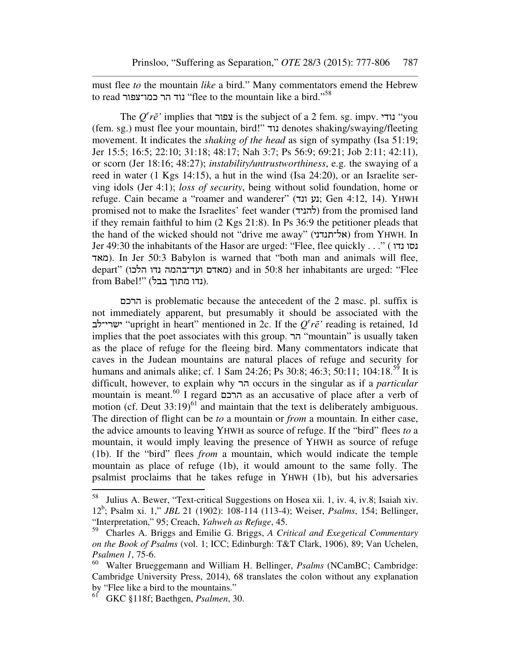must flee *to* the mountain *like* a bird." Many commentators emend the Hebrew to read נוד הר כמו־צפור "flee to the mountain like a bird."<sup>58</sup>

The  $Q^e r \bar{e}$ ' implies that צפור is the subject of a 2 fem. sg. impv. נודי (fem. sg.) must flee your mountain, bird!" נוד denotes shaking/swaying/fleeting movement. It indicates the *shaking of the head* as sign of sympathy (Isa 51:19; Jer 15:5; 16:5; 22:10; 31:18; 48:17; Nah 3:7; Ps 56:9; 69:21; Job 2:11; 42:11), or scorn (Jer 18:16; 48:27); *instability/untrustworthiness*, e.g. the swaying of a reed in water (1 Kgs 14:15), a hut in the wind (Isa 24:20), or an Israelite serving idols (Jer 4:1); *loss of security*, being without solid foundation, home or refuge. Cain became a "roamer and wanderer" (נע ונד; Gen 4:12, 14). YHWH promised not to make the Israelites' feet wander (להניד) from the promised land if they remain faithful to him (2 Kgs 21:8). In Ps 36:9 the petitioner pleads that the hand of the wicked should not "drive me away" (אל־תנדני (from YHWH. In Jer 49:30 the inhabitants of the Hasor are urged: "Flee, flee quickly . . ." ( נדו נסו מאד(. In Jer 50:3 Babylon is warned that "both man and animals will flee, depart" (הלכו נדו ועד־בהמה מאדם (and in 50:8 her inhabitants are urged: "Flee  $from Babel!"$  (נדו מתוך בבל).

הרכם is problematic because the antecedent of the 2 masc. pl. suffix is not immediately apparent, but presumably it should be associated with the ישרי־לב" upright in heart" mentioned in 2c. If the *Q e rē'* reading is retained, 1d implies that the poet associates with this group. הר" mountain" is usually taken as the place of refuge for the fleeing bird. Many commentators indicate that caves in the Judean mountains are natural places of refuge and security for humans and animals alike; cf. 1 Sam 24:26; Ps 30:8; 46:3; 50:11; 104:18.<sup>55</sup> It is difficult, however, to explain why הר occurs in the singular as if a *particular* mountain is meant.<sup>60</sup> I regard הרכם as an accusative of place after a verb of motion (cf. Deut  $33:19)^{61}$  and maintain that the text is deliberately ambiguous. The direction of flight can be *to* a mountain or *from* a mountain. In either case, the advice amounts to leaving YHWH as source of refuge. If the "bird" flees *to* a mountain, it would imply leaving the presence of YHWH as source of refuge (1b). If the "bird" flees *from* a mountain, which would indicate the temple mountain as place of refuge (1b), it would amount to the same folly. The psalmist proclaims that he takes refuge in YHWH (1b), but his adversaries

<sup>58</sup> Julius A. Bewer, "Text-critical Suggestions on Hosea xii. 1, iv. 4, iv.8; Isaiah xiv. 12<sup>b</sup> ; Psalm xi. 1," *JBL* 21 (1902): 108-114 (113-4); Weiser, *Psalms*, 154; Bellinger, "Interpretation," 95; Creach, *Yahweh as Refuge*, 45.

<sup>59</sup> Charles A. Briggs and Emilie G. Briggs, *A Critical and Exegetical Commentary on the Book of Psalms* (vol. 1; ICC; Edinburgh: T&T Clark, 1906), 89; Van Uchelen, *Psalmen 1*, 75-6.

<sup>60</sup> Walter Brueggemann and William H. Bellinger, *Psalms* (NCamBC; Cambridge: Cambridge University Press, 2014), 68 translates the colon without any explanation by "Flee like a bird to the mountains."

<sup>61</sup> GKC §118f; Baethgen, *Psalmen*, 30.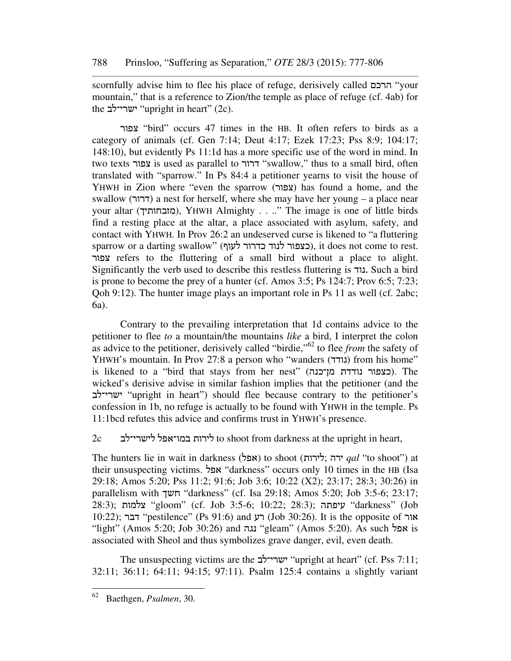scornfully advise him to flee his place of refuge, derisively called הרכם" your mountain," that is a reference to Zion/the temple as place of refuge (cf. 4ab) for the ישרי־לב "upright in heart" (2c).

צפור" bird" occurs 47 times in the HB. It often refers to birds as a category of animals (cf. Gen 7:14; Deut 4:17; Ezek 17:23; Pss 8:9; 104:17; 148:10), but evidently Ps 11:1d has a more specific use of the word in mind. In two texts צפור is used as parallel to דרור" swallow," thus to a small bird, often translated with "sparrow." In Ps 84:4 a petitioner yearns to visit the house of YHWH in Zion where "even the sparrow (צפור) has found a home, and the swallow (דרור) a nest for herself, where she may have her young – a place near your altar (מזבחותיך), YHWH Almighty . . .." The image is one of little birds find a resting place at the altar, a place associated with asylum, safety, and contact with YHWH. In Prov 26:2 an undeserved curse is likened to "a fluttering sparrow or a darting swallow" (כצפור לנוד כדרור), it does not come to rest. צפור refers to the fluttering of a small bird without a place to alight. Significantly the verb used to describe this restless fluttering is נוד. Such a bird is prone to become the prey of a hunter (cf. Amos 3:5; Ps 124:7; Prov 6:5; 7:23; Qoh 9:12). The hunter image plays an important role in Ps 11 as well (cf. 2abc; 6a).

Contrary to the prevailing interpretation that 1d contains advice to the petitioner to flee *to* a mountain/the mountains *like* a bird, I interpret the colon as advice to the petitioner, derisively called "birdie,"<sup>62</sup> to flee *from* the safety of YHWH's mountain. In Prov 27:8 a person who "wanders (נודד) from his home" is likened to a "bird that stays from her nest" (מן־כנה נודדת כצפור(. The wicked's derisive advise in similar fashion implies that the petitioner (and the ישרי־לב" upright in heart") should flee because contrary to the petitioner's confession in 1b, no refuge is actually to be found with YHWH in the temple. Ps 11:1bcd refutes this advice and confirms trust in YHWH's presence.

2c לישרי־לב במו־אפל לירות to shoot from darkness at the upright in heart,

The hunters lie in wait in darkness (אפל) to shoot (אפל; ירה *qal* "to shoot") at their unsuspecting victims. אפל" darkness" occurs only 10 times in the HB (Isa 29:18; Amos 5:20; Pss 11:2; 91:6; Job 3:6; 10:22 (X2); 23:17; 28:3; 30:26) in parallelism with חשך" darkness" (cf. Isa 29:18; Amos 5:20; Job 3:5-6; 23:17; 28:3); צלמות" gloom" (cf. Job 3:5-6; 10:22; 28:3); עיפתה" darkness" (Job 10:22); דבר "pestilence" (Ps 91:6) and רע) (Job 30:26). It is the opposite of אור "light" (Amos 5:20; Job 30:26) and נגה" gleam" (Amos 5:20). As such אפל is associated with Sheol and thus symbolizes grave danger, evil, even death.

The unsuspecting victims are the ישרי־לב "upright at heart" (cf. Pss 7:11; 32:11; 36:11; 64:11; 94:15; 97:11). Psalm 125:4 contains a slightly variant

<sup>62</sup> Baethgen, *Psalmen*, 30.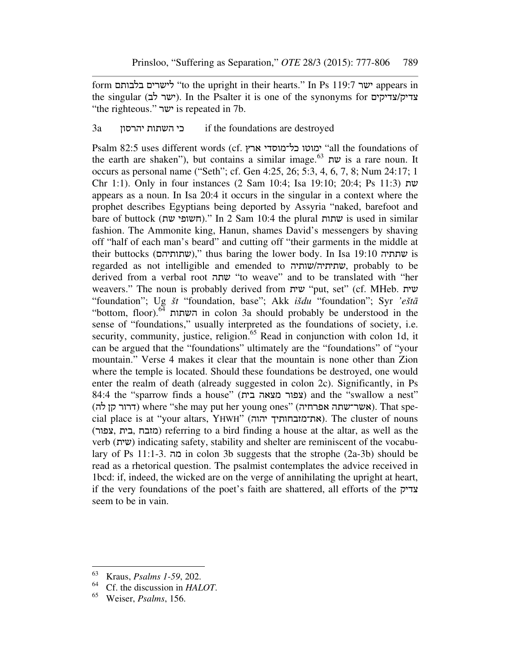form בלבותם לישרים" to the upright in their hearts." In Ps 119:7 ישר appears in the singular (ישר לב). In the Psalter it is one of the synonyms for צדיק/צדיקים "the righteous." ישר is repeated in 7b.

## 3a יהרסון השתות כי if the foundations are destroyed

Psalm 82:5 uses different words (cf. ארץ כל־מוסדי ימוטו" all the foundations of the earth are shaken"), but contains a similar image.<sup>63</sup> שת is a rare noun. It occurs as personal name ("Seth"; cf. Gen 4:25, 26; 5:3, 4, 6, 7, 8; Num 24:17; 1 Chr 1:1). Only in four instances (2 Sam 10:4; Isa 19:10; 20:4; Ps 11:3) שת appears as a noun. In Isa 20:4 it occurs in the singular in a context where the prophet describes Egyptians being deported by Assyria "naked, barefoot and bare of buttock (חשופי שת)." In 2 Sam 10:4 the plural ושתות is used in similar fashion. The Ammonite king, Hanun, shames David's messengers by shaving off "half of each man's beard" and cutting off "their garments in the middle at their buttocks (שתותיהם)," thus baring the lower body. In Isa 19:10 שתתיה is regarded as not intelligible and emended to שותיה/שתיתיה, probably to be derived from a verbal root שתה" to weave" and to be translated with "her weavers." The noun is probably derived from שית "put, set" (cf. MHeb. שית "foundation"; Ug *št* "foundation, base"; Akk *išdu* "foundation"; Syr *'eštā* "bottom, floor).<sup>64</sup> השתות in colon 3a should probably be understood in the sense of "foundations," usually interpreted as the foundations of society, i.e. security, community, justice, religion.<sup>65</sup> Read in conjunction with colon 1d, it can be argued that the "foundations" ultimately are the "foundations" of "your mountain." Verse 4 makes it clear that the mountain is none other than Zion where the temple is located. Should these foundations be destroyed, one would enter the realm of death (already suggested in colon 2c). Significantly, in Ps 84:4 the "sparrow finds a house" (צפור מצאה בית) and the "swallow a nest" (אשר־שתה אפרחיה) where "she may put her young ones" (אפרחיה). That special place is at "your altars, YHWH" (את־מזבחותיך). The cluster of nouns (צפור, בית, מזבח (referring to a bird finding a house at the altar, as well as the verb (שית (indicating safety, stability and shelter are reminiscent of the vocabulary of Ps 11:1-3. מה in colon 3b suggests that the strophe (2a-3b) should be read as a rhetorical question. The psalmist contemplates the advice received in 1bcd: if, indeed, the wicked are on the verge of annihilating the upright at heart, if the very foundations of the poet's faith are shattered, all efforts of the צדיק seem to be in vain.

<sup>63</sup> Kraus, *Psalms 1-59*, 202.

 $^{64}$  Cf. the discussion in *HALOT*.<br> $^{65}$  Weiser *Psalms* 156

<sup>65</sup> Weiser, *Psalms*, 156.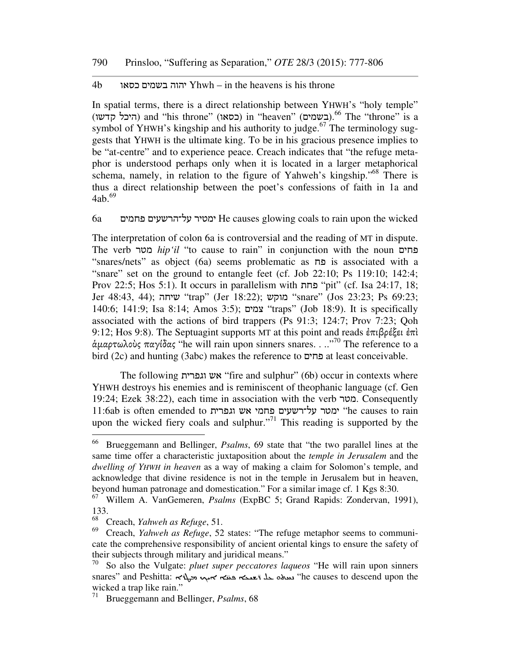#### 4b כסאו בשמים יהוה Yhwh – in the heavens is his throne

In spatial terms, there is a direct relationship between YHWH's "holy temple" (היכל קדשו) and "his throne" (כסאו) in "heaven" (בשמים).<sup>66</sup> The "throne" is a symbol of YHWH's kingship and his authority to judge.<sup>67</sup> The terminology suggests that YHWH is the ultimate king. To be in his gracious presence implies to be "at-centre" and to experience peace. Creach indicates that "the refuge metaphor is understood perhaps only when it is located in a larger metaphorical schema, namely, in relation to the figure of Yahweh's kingship."<sup>68</sup> There is thus a direct relationship between the poet's confessions of faith in 1a and 4ab.<sup>69</sup>

6a פחמים על־הרשעים ימטיר He causes glowing coals to rain upon the wicked

The interpretation of colon 6a is controversial and the reading of MT in dispute. The verb מטר *hip'il* "to cause to rain" in conjunction with the noun פחים "snares/nets" as object (6a) seems problematic as פח is associated with a "snare" set on the ground to entangle feet (cf. Job 22:10; Ps 119:10; 142:4; Prov 22:5; Hos 5:1). It occurs in parallelism with פחת" pit" (cf. Isa 24:17, 18; Jer 48:43, 44); שיחה" trap" (Jer 18:22); מוקש" snare" (Jos 23:23; Ps 69:23; 140:6; 141:9; Isa 8:14; Amos 3:5); צמים" traps" (Job 18:9). It is specifically associated with the actions of bird trappers (Ps 91:3; 124:7; Prov 7:23; Qoh 9:12; Hos 9:8). The Septuagint supports MT at this point and reads ἐπιβρέξει ἐπὶ ἁµαρτωλοὺς παγίδας "he will rain upon sinners snares. . .."<sup>70</sup> The reference to a bird (2c) and hunting (3abc) makes the reference to פחים at least conceivable.

The following וגפרית אש" fire and sulphur" (6b) occur in contexts where YHWH destroys his enemies and is reminiscent of theophanic language (cf. Gen 19:24; Ezek 38:22), each time in association with the verb מטר. Consequently 11:6ab is often emended to ומסיר על־רשעים פחמי אש וגפרית והיה והי "he causes to rain upon the wicked fiery coals and sulphur."<sup>71</sup> This reading is supported by the

<sup>66</sup> Brueggemann and Bellinger, *Psalms*, 69 state that "the two parallel lines at the same time offer a characteristic juxtaposition about the *temple in Jerusalem* and the *dwelling of YHWH in heaven* as a way of making a claim for Solomon's temple, and acknowledge that divine residence is not in the temple in Jerusalem but in heaven, beyond human patronage and domestication." For a similar image cf. 1 Kgs 8:30.

<sup>67</sup> Willem A. VanGemeren, *Psalms* (ExpBC 5; Grand Rapids: Zondervan, 1991),  $\frac{133}{68}$ 

<sup>&</sup>lt;sup>68</sup> Creach, *Yahweh as Refuge*, 51.<br><sup>69</sup> Creach, *Vahweh as Refuge*, 52.

<sup>69</sup> Creach, *Yahweh as Refuge*, 52 states: "The refuge metaphor seems to communicate the comprehensive responsibility of ancient oriental kings to ensure the safety of their subjects through military and juridical means."

<sup>70</sup> So also the Vulgate: *pluet super peccatores laqueos* "He will rain upon sinners snares" and Peshitta: سده حله تعديم هندم هي الله من الله عنه محمد الله عنه محمد الله عنه محمد الله عنه محمد ال wicked a trap like rain."

<sup>71</sup> Brueggemann and Bellinger, *Psalms*, 68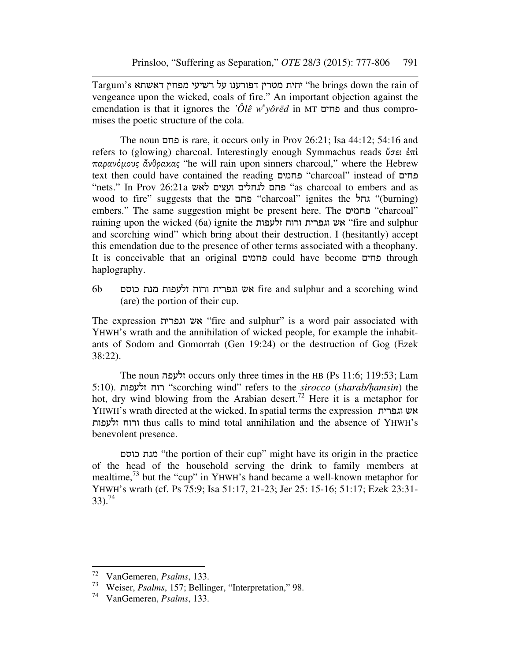Targum's דאשתא מפחין רשיעי על דפורענו מטרין יחית" he brings down the rain of vengeance upon the wicked, coals of fire." An important objection against the emendation is that it ignores the *ʽÔlê w<sup>e</sup> yôrēd* in MT פחים and thus compromises the poetic structure of the cola.

The noun פחם is rare, it occurs only in Prov 26:21; Isa 44:12; 54:16 and refers to (glowing) charcoal. Interestingly enough Symmachus reads ὕσει ἐπὶ παρανόµους ἄνθρακας "he will rain upon sinners charcoal," where the Hebrew text then could have contained the reading פחמים" charcoal" instead of פחים "nets." In Prov 26:21a לאש ועצים לגחלים פחם" as charcoal to embers and as wood to fire" suggests that the גחל "charcoal" ignites the גחל) " $\mu$  "(burning) embers." The same suggestion might be present here. The פחמים" charcoal" raining upon the wicked (6a) ignite the זלעפות ורוח וגפרית אש" fire and sulphur and scorching wind" which bring about their destruction. I (hesitantly) accept this emendation due to the presence of other terms associated with a theophany. It is conceivable that an original פחמים could have become פחים through haplography.

6b כוסם מנת זלעפות ורוח וגפרית אש fire and sulphur and a scorching wind (are) the portion of their cup.

The expression וגפרית אש" fire and sulphur" is a word pair associated with YHWH's wrath and the annihilation of wicked people, for example the inhabitants of Sodom and Gomorrah (Gen 19:24) or the destruction of Gog (Ezek 38:22).

The noun זלעפה occurs only three times in the HB (Ps 11:6; 119:53; Lam 5:10). זלעפות רוח" scorching wind" refers to the *sirocco* (*sharab/ḥamsin*) the hot, dry wind blowing from the Arabian desert.<sup>72</sup> Here it is a metaphor for YHWH's wrath directed at the wicked. In spatial terms the expression וגפרית אש זלעפות ורוח thus calls to mind total annihilation and the absence of YHWH's benevolent presence.

כוסם מנת" the portion of their cup" might have its origin in the practice of the head of the household serving the drink to family members at mealtime,<sup>73</sup> but the "cup" in YHWH's hand became a well-known metaphor for YHWH's wrath (cf. Ps 75:9; Isa 51:17, 21-23; Jer 25: 15-16; 51:17; Ezek 23:31-  $33)$ .<sup>74</sup>

<sup>72</sup> <sup>72</sup> VanGemeren, *Psalms*, 133.

<sup>73</sup> Weiser, *Psalms*, 157; Bellinger, "Interpretation," 98.

<sup>74</sup> VanGemeren, *Psalms*, 133.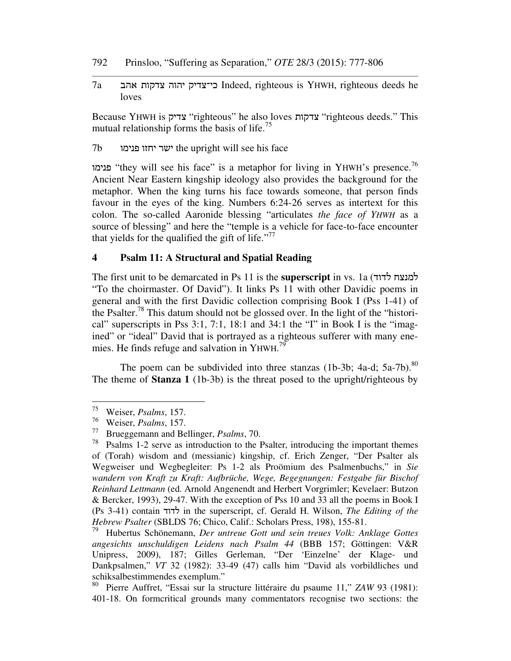- 792 Prinsloo, "Suffering as Separation," *OTE* 28/3 (2015): 777-806
- 7a אהב צדקות יהוה כי־צדיק Indeed, righteous is YHWH, righteous deeds he loves

Because YHWH is צדיק" righteous" he also loves צדקות" righteous deeds." This mutual relationship forms the basis of life.<sup>75</sup>

7b פנימו יחזו ישר the upright will see his face

פנימו" they will see his face" is a metaphor for living in YHWH's presence.<sup>76</sup> Ancient Near Eastern kingship ideology also provides the background for the metaphor. When the king turns his face towards someone, that person finds favour in the eyes of the king. Numbers 6:24-26 serves as intertext for this colon. The so-called Aaronide blessing "articulates *the face of YHWH* as a source of blessing" and here the "temple is a vehicle for face-to-face encounter that yields for the qualified the gift of life."<sup>77</sup>

#### **4 Psalm 11: A Structural and Spatial Reading**

The first unit to be demarcated in Ps 11 is the **superscript** in vs. 1a (לדוד למנצח "To the choirmaster. Of David"). It links Ps 11 with other Davidic poems in general and with the first Davidic collection comprising Book I (Pss 1-41) of the Psalter.<sup>78</sup> This datum should not be glossed over. In the light of the "historical" superscripts in Pss 3:1, 7:1, 18:1 and 34:1 the "I" in Book I is the "imagined" or "ideal" David that is portrayed as a righteous sufferer with many enemies. He finds refuge and salvation in YHWH.<sup>79</sup>

The poem can be subdivided into three stanzas  $(1b-3b; 4a-d; 5a-7b)^{80}$ The theme of **Stanza 1** (1b-3b) is the threat posed to the upright/righteous by

<sup>75</sup> Weiser, *Psalms*, 157.

<sup>76</sup> Weiser, *Psalms*, 157.

<sup>77</sup> Brueggemann and Bellinger, *Psalms*, 70.

Psalms 1-2 serve as introduction to the Psalter, introducing the important themes of (Torah) wisdom and (messianic) kingship, cf. Erich Zenger, "Der Psalter als Wegweiser und Wegbegleiter: Ps 1-2 als Proömium des Psalmenbuchs," in *Sie wandern von Kraft zu Kraft: Aufbrüche, Wege, Begegnungen: Festgabe für Bischof Reinhard Lettmann* (ed. Arnold Angenendt and Herbert Vorgrimler; Kevelaer: Butzon & Bercker, 1993), 29-47. With the exception of Pss 10 and 33 all the poems in Book I (Ps 3-41) contain לדוד in the superscript, cf. Gerald H. Wilson, *The Editing of the Hebrew Psalter* (SBLDS 76; Chico, Calif.: Scholars Press, 198), 155-81.

<sup>79</sup> Hubertus Schönemann, *Der untreue Gott und sein treues Volk: Anklage Gottes angesichts unschuldigen Leidens nach Psalm 44* (BBB 157; Göttingen: V&R Unipress, 2009), 187; Gilles Gerleman, "Der 'Einzelne' der Klage- und Dankpsalmen," *VT* 32 (1982): 33-49 (47) calls him "David als vorbildliches und schiksalbestimmendes exemplum."<br><sup>80</sup> Dierre Auffret "Essai sur la sti

<sup>80</sup> Pierre Auffret, "Essai sur la structure littéraire du psaume 11," *ZAW* 93 (1981): 401-18. On formcritical grounds many commentators recognise two sections: the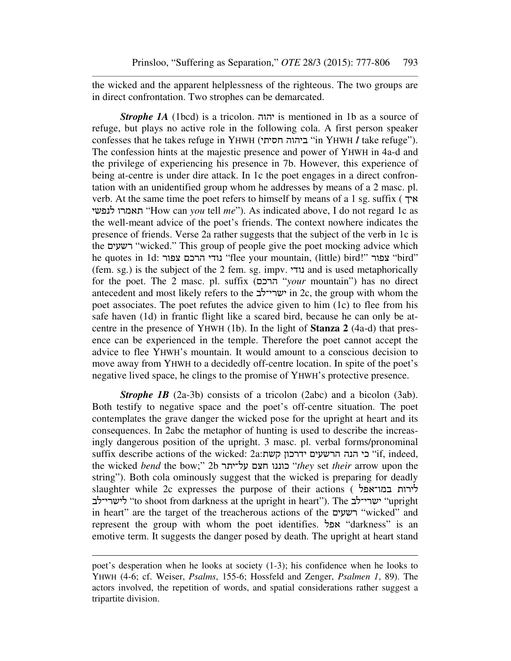the wicked and the apparent helplessness of the righteous. The two groups are in direct confrontation. Two strophes can be demarcated.

*Strophe 1A* (1bcd) is a tricolon. יהוה is mentioned in 1b as a source of refuge, but plays no active role in the following cola. A first person speaker confesses that he takes refuge in YHWH ("ביהוה חסיתי" in YHWH *I* take refuge"). The confession hints at the majestic presence and power of YHWH in 4a-d and the privilege of experiencing his presence in 7b. However, this experience of being at-centre is under dire attack. In 1c the poet engages in a direct confrontation with an unidentified group whom he addresses by means of a 2 masc. pl. verb. At the same time the poet refers to himself by means of a 1 sg. suffix ( איך לנפשי תאמרו" How can *you* tell *me*"). As indicated above, I do not regard 1c as the well-meant advice of the poet's friends. The context nowhere indicates the presence of friends. Verse 2a rather suggests that the subject of the verb in 1c is the רשעים" wicked." This group of people give the poet mocking advice which he quotes in 1d: נודי הרכם צפור "flee your mountain, (little) bird!" צפור "bird (fem. sg.) is the subject of the 2 fem. sg. impv. נודי and is used metaphorically for the poet. The 2 masc. pl. suffix (הרכם" *your* mountain") has no direct antecedent and most likely refers to the ישרי־לב in 2c, the group with whom the poet associates. The poet refutes the advice given to him (1c) to flee from his safe haven (1d) in frantic flight like a scared bird, because he can only be atcentre in the presence of YHWH (1b). In the light of **Stanza 2** (4a-d) that presence can be experienced in the temple. Therefore the poet cannot accept the advice to flee YHWH's mountain. It would amount to a conscious decision to move away from YHWH to a decidedly off-centre location. In spite of the poet's negative lived space, he clings to the promise of YHWH's protective presence.

*Strophe 1B* (2a-3b) consists of a tricolon (2abc) and a bicolon (3ab). Both testify to negative space and the poet's off-centre situation. The poet contemplates the grave danger the wicked pose for the upright at heart and its consequences. In 2abc the metaphor of hunting is used to describe the increasingly dangerous position of the upright. 3 masc. pl. verbal forms/pronominal suffix describe actions of the wicked: כי הנה הרשעים ידרכון הני "if, indeed, the wicked *bend* the bow;" 2b על־יתר חצם כוננו" *they* set *their* arrow upon the string"). Both cola ominously suggest that the wicked is preparing for deadly slaughter while 2c expresses the purpose of their actions ( במו־אפל לירות לישרי־לב" to shoot from darkness at the upright in heart"). The ישרי־לב" upright in heart" are the target of the treacherous actions of the רשעים" wicked" and represent the group with whom the poet identifies. אפל" darkness" is an emotive term. It suggests the danger posed by death. The upright at heart stand

poet's desperation when he looks at society (1-3); his confidence when he looks to YHWH (4-6; cf. Weiser, *Psalms*, 155-6; Hossfeld and Zenger, *Psalmen 1*, 89). The actors involved, the repetition of words, and spatial considerations rather suggest a tripartite division.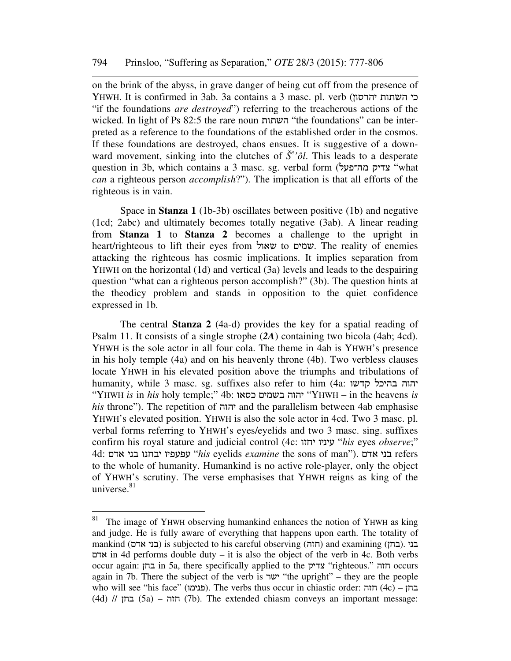on the brink of the abyss, in grave danger of being cut off from the presence of YHWH. It is confirmed in 3ab. 3a contains a 3 masc. pl. verb (יהרסון השתות כי "if the foundations *are destroyed*") referring to the treacherous actions of the wicked. In light of Ps 82:5 the rare noun השתות" the foundations" can be interpreted as a reference to the foundations of the established order in the cosmos. If these foundations are destroyed, chaos ensues. It is suggestive of a downward movement, sinking into the clutches of  $\check{S}^e$ 'ôl. This leads to a desperate question in 3b, which contains a 3 masc. sg. verbal form ("צדיק מה־פעל "what *can* a righteous person *accomplish*?"). The implication is that all efforts of the righteous is in vain.

Space in **Stanza 1** (1b-3b) oscillates between positive (1b) and negative (1cd; 2abc) and ultimately becomes totally negative (3ab). A linear reading from **Stanza 1** to **Stanza 2** becomes a challenge to the upright in heart/righteous to lift their eyes from שאול to שמים. The reality of enemies attacking the righteous has cosmic implications. It implies separation from YHWH on the horizontal (1d) and vertical (3a) levels and leads to the despairing question "what can a righteous person accomplish?" (3b). The question hints at the theodicy problem and stands in opposition to the quiet confidence expressed in 1b.

The central **Stanza 2** (4a-d) provides the key for a spatial reading of Psalm 11. It consists of a single strophe (*2A*) containing two bicola (4ab; 4cd). YHWH is the sole actor in all four cola. The theme in 4ab is YHWH's presence in his holy temple (4a) and on his heavenly throne (4b). Two verbless clauses locate YHWH in his elevated position above the triumphs and tribulations of humanity, while 3 masc. sg. suffixes also refer to him (4a: קדשו בהיכל יהוה "YHWH *is* in *his* holy temple;" 4b: כסאו בשמים יהוה" YHWH – in the heavens *is his* throne"). The repetition of יהוה and the parallelism between 4ab emphasise YHWH's elevated position. YHWH is also the sole actor in 4cd. Two 3 masc. pl. verbal forms referring to YHWH's eyes/eyelids and two 3 masc. sing. suffixes confirm his royal stature and judicial control (4c: יחזו עיניו" *his* eyes *observe*;" 4d: אדם בני יבחנו עפעפיו" *his* eyelids *examine* the sons of man"). אדם בני refers to the whole of humanity. Humankind is no active role-player, only the object of YHWH's scrutiny. The verse emphasises that YHWH reigns as king of the universe. $81$ 

 $81$  The image of YHWH observing humankind enhances the notion of YHWH as king and judge. He is fully aware of everything that happens upon earth. The totality of mankind (בני אדם) is subjected to his careful observing (חזה) and examining (בני אדם אדם in 4d performs double duty – it is also the object of the verb in 4c. Both verbs occur again: בחן in 5a, there specifically applied to the צדיק" righteous." חזה occurs again in 7b. There the subject of the verb is ישר" the upright" – they are the people who will see "his face" (פנימו). The verbs thus occur in chiastic order: הוה (4d)  $\frac{1}{4}$  (5a) – חזה (7b). The extended chiasm conveys an important message: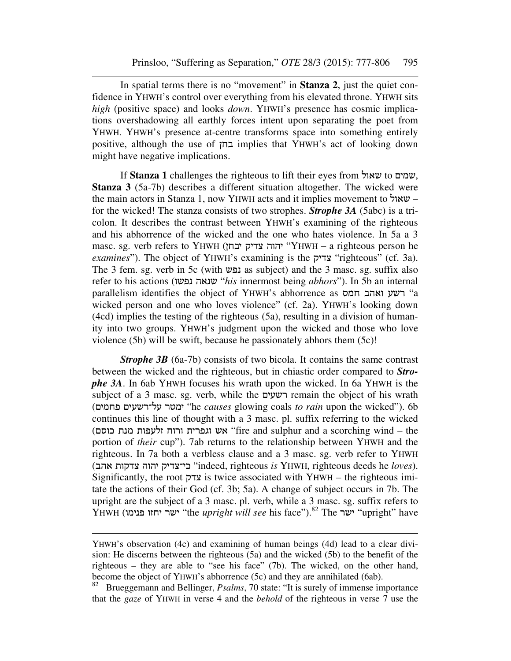In spatial terms there is no "movement" in **Stanza 2**, just the quiet confidence in YHWH's control over everything from his elevated throne. YHWH sits *high* (positive space) and looks *down*. YHWH's presence has cosmic implications overshadowing all earthly forces intent upon separating the poet from YHWH. YHWH's presence at-centre transforms space into something entirely positive, although the use of בחן implies that YHWH's act of looking down might have negative implications.

If **Stanza 1** challenges the righteous to lift their eyes from שאול to שמים, **Stanza 3** (5a-7b) describes a different situation altogether. The wicked were the main actors in Stanza 1, now YHWH acts and it implies movement to שאול – for the wicked! The stanza consists of two strophes. *Strophe 3A* (5abc) is a tricolon. It describes the contrast between YHWH's examining of the righteous and his abhorrence of the wicked and the one who hates violence. In 5a a 3 masc. sg. verb refers to YHWH (יהוה צדיק יבחן "YHWH – a righteous person he *examines*"). The object of YHWH's examining is the צדיק" righteous" (cf. 3a). The 3 fem. sg. verb in 5c (with נפש as subject) and the 3 masc. sg. suffix also refer to his actions (שנאה נפשו "*his* innermost being *abhors*"). In 5b an internal parallelism identifies the object of YHWH's abhorrence as חמס ואהב רשע" a wicked person and one who loves violence" (cf. 2a). YHWH's looking down (4cd) implies the testing of the righteous (5a), resulting in a division of humanity into two groups. YHWH's judgment upon the wicked and those who love violence (5b) will be swift, because he passionately abhors them (5c)!

**Strophe 3B** (6a-7b) consists of two bicola. It contains the same contrast between the wicked and the righteous, but in chiastic order compared to *Strophe 3A*. In 6ab YHWH focuses his wrath upon the wicked. In 6a YHWH is the subject of a 3 masc. sg. verb, while the רשעים remain the object of his wrath (פחמים על־רשעים ימטר" he *causes* glowing coals *to rain* upon the wicked"). 6b continues this line of thought with a 3 masc. pl. suffix referring to the wicked (כוסם מנת זלעפות ורוח וגפרית אש" fire and sulphur and a scorching wind – the portion of *their* cup"). 7ab returns to the relationship between YHWH and the righteous. In 7a both a verbless clause and a 3 masc. sg. verb refer to YHWH (אהב צדקות יהוה כי־צדיק" indeed, righteous *is* YHWH, righteous deeds he *loves*). Significantly, the root צדק is twice associated with YHWH – the righteous imitate the actions of their God (cf. 3b; 5a). A change of subject occurs in 7b. The upright are the subject of a 3 masc. pl. verb, while a 3 masc. sg. suffix refers to YHWH (ישר יחזו פנימו יוחד "the *upright will see* his face").<sup>82</sup> The ישר יחזו ישר" vipright" have

YHWH's observation (4c) and examining of human beings (4d) lead to a clear division: He discerns between the righteous (5a) and the wicked (5b) to the benefit of the righteous – they are able to "see his face" (7b). The wicked, on the other hand, become the object of YHWH's abhorrence (5c) and they are annihilated (6ab).

<sup>&</sup>lt;sup>82</sup> Brueggemann and Bellinger, *Psalms*, 70 state: "It is surely of immense importance that the *gaze* of YHWH in verse 4 and the *behold* of the righteous in verse 7 use the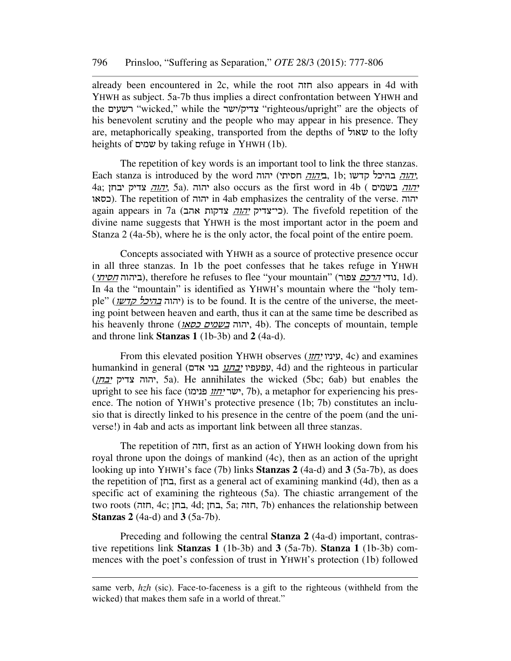already been encountered in 2c, while the root חזה also appears in 4d with YHWH as subject. 5a-7b thus implies a direct confrontation between YHWH and the רשעים "wicked," while the יצדיק/ישר "righteous/upright" are the objects of his benevolent scrutiny and the people who may appear in his presence. They are, metaphorically speaking, transported from the depths of שאול to the lofty heights of שמים by taking refuge in YHWH (1b).

The repetition of key words is an important tool to link the three stanzas. Each stanza is introduced by the word יהוה, חסיתי) חסיתי, 1b; אלהה בהיכל הדשו 4a; יבחן צדיק יהוה, 5a). יהוה also occurs as the first word in 4b ( בשמים יהוה כסאו(. The repetition of יהוה in 4ab emphasizes the centrality of the verse. יהוה again appears in 7a (כי־צדיק *יהוה* צדקות אהב). The fivefold repetition of the divine name suggests that YHWH is the most important actor in the poem and Stanza 2 (4a-5b), where he is the only actor, the focal point of the entire poem.

Concepts associated with YHWH as a source of protective presence occur in all three stanzas. In 1b the poet confesses that he takes refuge in YHWH (ביהוה *חסיתי*), therefore he refuses to flee "your mountain" (ביהוה *חסיתי*), 1d). In 4a the "mountain" is identified as YHWH's mountain where the "holy temple" (יהוה *בהיכל קדשו*) is to be found. It is the centre of the universe, the meeting point between heaven and earth, thus it can at the same time be described as his heavenly throne (*ה*הוה <u>בשמים כסאז</u>), 4b). The concepts of mountain, temple and throne link **Stanzas 1** (1b-3b) and **2** (4a-d).

From this elevated position YHWH observes (יחזו עיניו, 4c) and examines humankind in general (אפעפיו יבחנו עבוי אדם), 4d) and the righteous in particular (יהוה צדיק *יבחן*). Sa). He annihilates the wicked (5bc; 6ab) but enables the upright to see his face (ישר <u>יחזו</u> פנימו, 7b), a metaphor for experiencing his presence. The notion of YHWH's protective presence (1b; 7b) constitutes an inclusio that is directly linked to his presence in the centre of the poem (and the universe!) in 4ab and acts as important link between all three stanzas.

The repetition of חזה, first as an action of YHWH looking down from his royal throne upon the doings of mankind (4c), then as an action of the upright looking up into YHWH's face (7b) links **Stanzas 2** (4a-d) and **3** (5a-7b), as does the repetition of בחן, first as a general act of examining mankind (4d), then as a specific act of examining the righteous (5a). The chiastic arrangement of the two roots (חזה, 4c; בחן, 4d; בחן, 5a; חזה, 7b) enhances the relationship between **Stanzas 2** (4a-d) and **3** (5a-7b).

Preceding and following the central **Stanza 2** (4a-d) important, contrastive repetitions link **Stanzas 1** (1b-3b) and **3** (5a-7b). **Stanza 1** (1b-3b) commences with the poet's confession of trust in YHWH's protection (1b) followed

same verb, *hzh* (sic). Face-to-faceness is a gift to the righteous (withheld from the wicked) that makes them safe in a world of threat."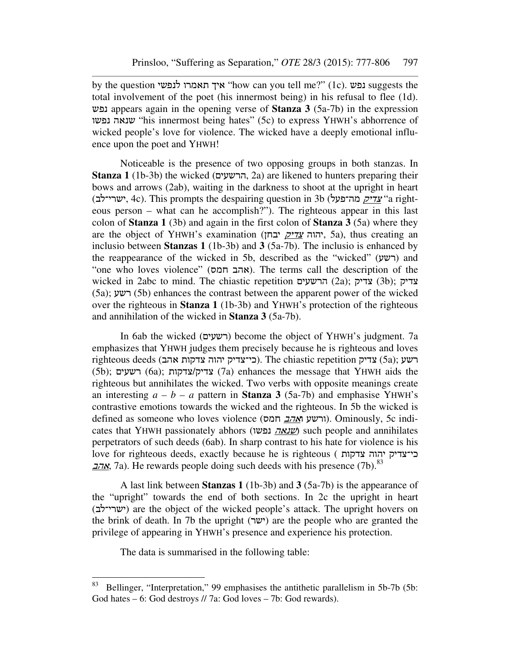by the question לנפשי תאמרו איך" how can you tell me?" (1c). נפש suggests the total involvement of the poet (his innermost being) in his refusal to flee (1d). נפש appears again in the opening verse of **Stanza 3** (5a-7b) in the expression נפשו שנאה" his innermost being hates" (5c) to express YHWH's abhorrence of wicked people's love for violence. The wicked have a deeply emotional influence upon the poet and YHWH!

Noticeable is the presence of two opposing groups in both stanzas. In **Stanza 1** (1b-3b) the wicked (הרשעים, 2a) are likened to hunters preparing their bows and arrows (2ab), waiting in the darkness to shoot at the upright in heart (ישרי־לב, 4c). This prompts the despairing question in 3b (ישרי־לב, ישרי־לב eous person – what can he accomplish?"). The righteous appear in this last colon of **Stanza 1** (3b) and again in the first colon of **Stanza 3** (5a) where they are the object of YHWH's examination (יהוה <u>צדיק</u> יבחן, 5a), thus creating an inclusio between **Stanzas 1** (1b-3b) and **3** (5a-7b). The inclusio is enhanced by the reappearance of the wicked in 5b, described as the "wicked"  $(2\nu$ ה) and "one who loves violence" (אהב חמס). The terms call the description of the wicked in 2abc to mind. The chiastic repetition הרשעים (2a); צדיק (3b); צדיק (5a); רשע) 5b) enhances the contrast between the apparent power of the wicked over the righteous in **Stanza 1** (1b-3b) and YHWH's protection of the righteous and annihilation of the wicked in **Stanza 3** (5a-7b).

In 6ab the wicked (רשעים (become the object of YHWH's judgment. 7a emphasizes that YHWH judges them precisely because he is righteous and loves  $\dot{\rm{right}}$ רשע (5a); רשע (5a); ראשע (5a); ראשע (5b); רשעים) 6a); צדקות/צדיק) 7a) enhances the message that YHWH aids the righteous but annihilates the wicked. Two verbs with opposite meanings create an interesting  $a - b - a$  pattern in **Stanza 3** (5a-7b) and emphasise YHWH's contrastive emotions towards the wicked and the righteous. In 5b the wicked is defined as someone who loves violence (ורשע ו*אהב* חמס). Ominously, 5c indicates that YHWH passionately abhors (שנאה נפשו) such people and annihilates perpetrators of such deeds (6ab). In sharp contrast to his hate for violence is his love for righteous deeds, exactly because he is righteous ( צדקות יהוה כי־צדיק אהב, 7a). He rewards people doing such deeds with his presence (7b).<sup>83</sup>

A last link between **Stanzas 1** (1b-3b) and **3** (5a-7b) is the appearance of the "upright" towards the end of both sections. In 2c the upright in heart (ישרי־לב (are the object of the wicked people's attack. The upright hovers on the brink of death. In 7b the upright (ישר) are the people who are granted the privilege of appearing in YHWH's presence and experience his protection.

The data is summarised in the following table:

<sup>83</sup> Bellinger, "Interpretation," 99 emphasises the antithetic parallelism in 5b-7b (5b: God hates – 6: God destroys // 7a: God loves – 7b: God rewards).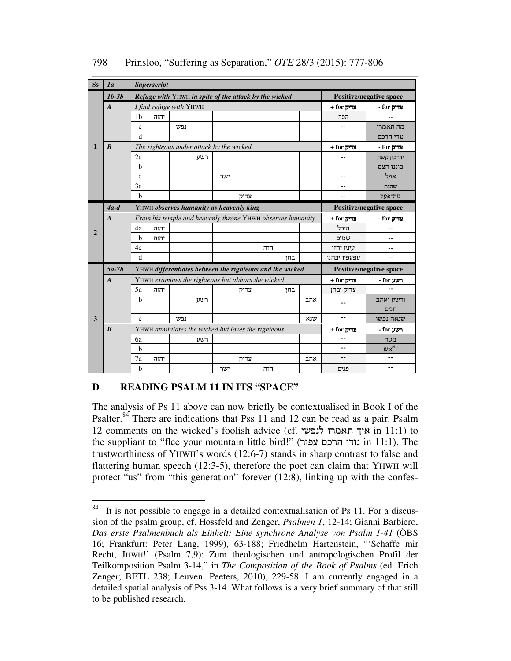| <b>Ss</b> | 1 <sub>a</sub>   | <b>Superscript</b>                                         |      |     |     |     |      |     |     |                                |                |                |
|-----------|------------------|------------------------------------------------------------|------|-----|-----|-----|------|-----|-----|--------------------------------|----------------|----------------|
|           | $1b-3b$          | Refuge with YHWH in spite of the attack by the wicked      |      |     |     |     |      |     |     | <b>Positive/negative space</b> |                |                |
|           | $\boldsymbol{A}$ | I find refuge with YHWH                                    |      |     |     |     |      |     |     | $+$ for צדיק                   | - for צדיק     |                |
|           |                  | 1 <sub>b</sub>                                             | יהוה |     |     |     |      |     |     |                                | הסה            |                |
|           |                  | $\mathbf{c}$                                               |      | נפש |     |     |      |     |     |                                |                | מה תאמרו       |
|           |                  | $\mathbf d$                                                |      |     |     |     |      |     |     |                                |                | נודי הרכם      |
| 1         | $\boldsymbol{B}$ | The righteous under attack by the wicked                   |      |     |     |     |      |     |     | + for צדיק                     | - for צדיק     |                |
|           |                  | 2a                                                         |      |     | רשע |     |      |     |     |                                | $-$            | ידרכון קשת     |
|           |                  | $\mathbf b$                                                |      |     |     |     |      |     |     |                                | --             | כוננו חצם      |
|           |                  | $\mathbf{c}$                                               |      |     |     | ישר |      |     |     |                                | $-$            | אפל            |
|           |                  | 3a                                                         |      |     |     |     |      |     |     |                                | $-$            | שתות           |
|           |                  | $\mathbf b$                                                |      |     |     |     | צדיק |     |     |                                | $\overline{a}$ | מה־פעל         |
|           | $4a-d$           | YHWH observes humanity as heavenly king                    |      |     |     |     |      |     |     | <b>Positive/negative space</b> |                |                |
|           | $\boldsymbol{A}$ | From his temple and heavenly throne YHWH observes humanity |      |     |     |     |      |     |     |                                | $+$ for צדיק   | - for צדיק     |
| 2         |                  | 4a                                                         | יהוה |     |     |     |      |     |     |                                | היכל           | $-$            |
|           |                  | $\mathbf b$                                                | יהוה |     |     |     |      |     |     |                                | שמים           | $-$            |
|           |                  | 4c                                                         |      |     |     |     |      | חזה |     |                                | עיניו יחזו     | $-$            |
|           |                  | $\mathbf d$                                                |      |     |     |     |      |     | בחז |                                | עפעפיו יבחנו   | $-$            |
|           | $5a-7b$          | YHWH differentiates between the righteous and the wicked   |      |     |     |     |      |     |     | <b>Positive/negative space</b> |                |                |
|           | $\boldsymbol{A}$ | YHWH examines the righteous but abhors the wicked          |      |     |     |     |      |     |     | $+$ for צדיק                   | - for רשע      |                |
|           |                  | 5a                                                         | יהוה |     |     |     | צדיק |     | בחז |                                | צדיק יבחן      | $\overline{a}$ |
|           |                  | b                                                          |      |     | רשע |     |      |     |     | אהב                            |                | ורשע ואהב      |
|           |                  |                                                            |      |     |     |     |      |     |     |                                |                | חמס            |
| 3         |                  | $\mathbf{c}$                                               |      | נפש |     |     |      |     |     | שנא                            | --             | שנאה נפשו      |
|           | $\boldsymbol{B}$ | YHWH annihilates the wicked but loves the righteous        |      |     |     |     |      |     |     |                                | $+$ for צדיק   | - for רשע      |
|           |                  | 6a                                                         |      |     | רשע |     |      |     |     |                                | ۰.             | מטר            |
|           |                  | $\mathbf b$                                                |      |     |     |     |      |     |     |                                | --             | $v$ אש         |
|           |                  | 7a                                                         | יהוה |     |     |     | צדיק |     |     | אהב                            |                | --             |
|           |                  | $\mathbf b$                                                |      |     |     | ישר |      | חזה |     |                                | פנים           | --             |

798 Prinsloo, "Suffering as Separation," *OTE* 28/3 (2015): 777-806

# **D READING PSALM 11 IN ITS "SPACE"**

The analysis of Ps 11 above can now briefly be contextualised in Book I of the Psalter.<sup>84</sup> There are indications that Pss 11 and 12 can be read as a pair. Psalm 12 comments on the wicked's foolish advice (cf. לנפשי תאמרו איך in 11:1) to the suppliant to "flee your mountain little bird!" (נודי הרכם צפור in 11:1). The trustworthiness of YHWH's words (12:6-7) stands in sharp contrast to false and flattering human speech (12:3-5), therefore the poet can claim that YHWH will protect "us" from "this generation" forever (12:8), linking up with the confes-

<sup>84</sup> It is not possible to engage in a detailed contextualisation of Ps 11. For a discussion of the psalm group, cf. Hossfeld and Zenger, *Psalmen 1*, 12-14; Gianni Barbiero, *Das erste Psalmenbuch als Einheit: Eine synchrone Analyse von Psalm 1-41* (ÖBS 16; Frankfurt: Peter Lang, 1999), 63-188; Friedhelm Hartenstein, "'Schaffe mir Recht, JHWH!' (Psalm 7,9): Zum theologischen und antropologischen Profil der Teilkomposition Psalm 3-14," in *The Composition of the Book of Psalms* (ed. Erich Zenger; BETL 238; Leuven: Peeters, 2010), 229-58. I am currently engaged in a detailed spatial analysis of Pss 3-14. What follows is a very brief summary of that still to be published research.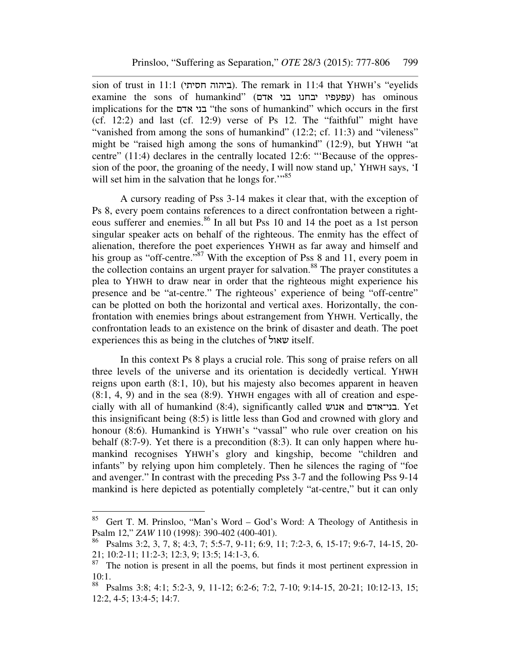sion of trust in 11:1 (ביהוה חסיתי). The remark in 11:4 that YHWH's "eyelids examine the sons of humankind" (אפעפיו יבחנו בני אדם) has ominous implications for the אדם בני" the sons of humankind" which occurs in the first (cf. 12:2) and last (cf. 12:9) verse of Ps 12. The "faithful" might have "vanished from among the sons of humankind" (12:2; cf. 11:3) and "vileness" might be "raised high among the sons of humankind" (12:9), but YHWH "at centre" (11:4) declares in the centrally located 12:6: "'Because of the oppression of the poor, the groaning of the needy, I will now stand up,' YHWH says, 'I will set him in the salvation that he longs for."<sup>85</sup>

A cursory reading of Pss 3-14 makes it clear that, with the exception of Ps 8, every poem contains references to a direct confrontation between a righteous sufferer and enemies.<sup>86</sup> In all but Pss 10 and 14 the poet as a 1st person singular speaker acts on behalf of the righteous. The enmity has the effect of alienation, therefore the poet experiences YHWH as far away and himself and his group as "off-centre."<sup>87</sup> With the exception of Pss 8 and 11, every poem in the collection contains an urgent prayer for salvation.<sup>88</sup> The prayer constitutes a plea to YHWH to draw near in order that the righteous might experience his presence and be "at-centre." The righteous' experience of being "off-centre" can be plotted on both the horizontal and vertical axes. Horizontally, the confrontation with enemies brings about estrangement from YHWH. Vertically, the confrontation leads to an existence on the brink of disaster and death. The poet experiences this as being in the clutches of שאול itself.

In this context Ps 8 plays a crucial role. This song of praise refers on all three levels of the universe and its orientation is decidedly vertical. YHWH reigns upon earth (8:1, 10), but his majesty also becomes apparent in heaven (8:1, 4, 9) and in the sea (8:9). YHWH engages with all of creation and especially with all of humankind (8:4), significantly called אנוש and בני־אדם. Yet this insignificant being (8:5) is little less than God and crowned with glory and honour (8:6). Humankind is YHWH's "vassal" who rule over creation on his behalf (8:7-9). Yet there is a precondition (8:3). It can only happen where humankind recognises YHWH's glory and kingship, become "children and infants" by relying upon him completely. Then he silences the raging of "foe and avenger." In contrast with the preceding Pss 3-7 and the following Pss 9-14 mankind is here depicted as potentially completely "at-centre," but it can only

<sup>&</sup>lt;sup>85</sup> Gert T. M. Prinsloo, "Man's Word – God's Word: A Theology of Antithesis in Psalm 12," *ZAW* 110 (1998): 390-402 (400-401).

<sup>86</sup> Psalms 3:2, 3, 7, 8; 4:3, 7; 5:5-7, 9-11; 6:9, 11; 7:2-3, 6, 15-17; 9:6-7, 14-15, 20- 21; 10:2-11; 11:2-3; 12:3, 9; 13:5; 14:1-3, 6.

 $87$ <sup>87</sup> The notion is present in all the poems, but finds it most pertinent expression in 10:1.

<sup>88</sup> Psalms 3:8; 4:1; 5:2-3, 9, 11-12; 6:2-6; 7:2, 7-10; 9:14-15, 20-21; 10:12-13, 15; 12:2, 4-5; 13:4-5; 14:7.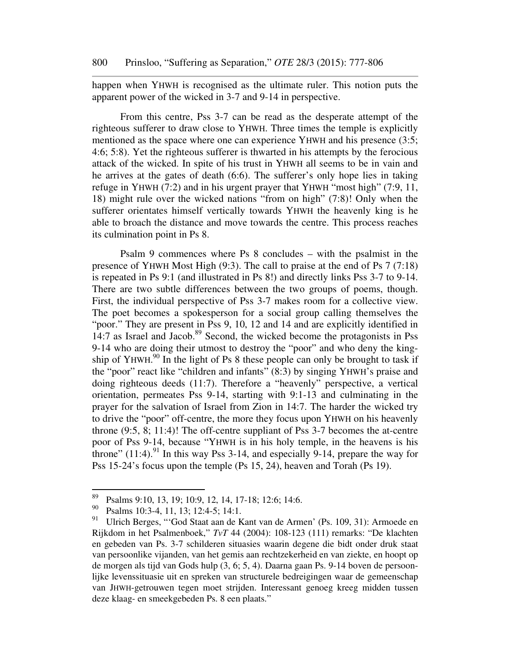happen when YHWH is recognised as the ultimate ruler. This notion puts the apparent power of the wicked in 3-7 and 9-14 in perspective.

From this centre, Pss 3-7 can be read as the desperate attempt of the righteous sufferer to draw close to YHWH. Three times the temple is explicitly mentioned as the space where one can experience YHWH and his presence (3:5; 4:6; 5:8). Yet the righteous sufferer is thwarted in his attempts by the ferocious attack of the wicked. In spite of his trust in YHWH all seems to be in vain and he arrives at the gates of death (6:6). The sufferer's only hope lies in taking refuge in YHWH (7:2) and in his urgent prayer that YHWH "most high" (7:9, 11, 18) might rule over the wicked nations "from on high" (7:8)! Only when the sufferer orientates himself vertically towards YHWH the heavenly king is he able to broach the distance and move towards the centre. This process reaches its culmination point in Ps 8.

Psalm 9 commences where Ps 8 concludes – with the psalmist in the presence of YHWH Most High (9:3). The call to praise at the end of Ps 7 (7:18) is repeated in Ps 9:1 (and illustrated in Ps 8!) and directly links Pss 3-7 to 9-14. There are two subtle differences between the two groups of poems, though. First, the individual perspective of Pss 3-7 makes room for a collective view. The poet becomes a spokesperson for a social group calling themselves the "poor." They are present in Pss 9, 10, 12 and 14 and are explicitly identified in  $14:7$  as Israel and Jacob.<sup>89</sup> Second, the wicked become the protagonists in Pss 9-14 who are doing their utmost to destroy the "poor" and who deny the kingship of YHWH. $90$  In the light of Ps 8 these people can only be brought to task if the "poor" react like "children and infants" (8:3) by singing YHWH's praise and doing righteous deeds (11:7). Therefore a "heavenly" perspective, a vertical orientation, permeates Pss 9-14, starting with 9:1-13 and culminating in the prayer for the salvation of Israel from Zion in 14:7. The harder the wicked try to drive the "poor" off-centre, the more they focus upon YHWH on his heavenly throne (9:5, 8; 11:4)! The off-centre suppliant of Pss 3-7 becomes the at-centre poor of Pss 9-14, because "YHWH is in his holy temple, in the heavens is his throne"  $(11:4)$ .<sup>91</sup> In this way Pss 3-14, and especially 9-14, prepare the way for Pss 15-24's focus upon the temple (Ps 15, 24), heaven and Torah (Ps 19).

<sup>89</sup> <sup>89</sup> Psalms 9:10, 13, 19; 10:9, 12, 14, 17-18; 12:6; 14:6.<br><sup>90</sup> Psalms 10:3, 4, 11, 13: 12:4, 5: 14:1

<sup>&</sup>lt;sup>90</sup> Psalms 10:3-4, 11, 13; 12:4-5; 14:1.<br><sup>91</sup> Ultich Berges "God Staat aan de K

<sup>91</sup> Ulrich Berges, "'God Staat aan de Kant van de Armen' (Ps. 109, 31): Armoede en Rijkdom in het Psalmenboek," *TvT* 44 (2004): 108-123 (111) remarks: "De klachten en gebeden van Ps. 3-7 schilderen situasies waarin degene die bidt onder druk staat van persoonlike vijanden, van het gemis aan rechtzekerheid en van ziekte, en hoopt op de morgen als tijd van Gods hulp (3, 6; 5, 4). Daarna gaan Ps. 9-14 boven de persoonlijke levenssituasie uit en spreken van structurele bedreigingen waar de gemeenschap van JHWH-getrouwen tegen moet strijden. Interessant genoeg kreeg midden tussen deze klaag- en smeekgebeden Ps. 8 een plaats."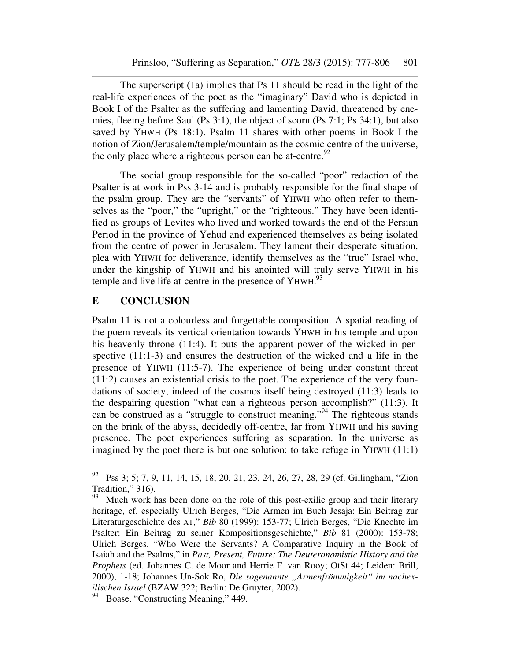The superscript (1a) implies that Ps 11 should be read in the light of the real-life experiences of the poet as the "imaginary" David who is depicted in Book I of the Psalter as the suffering and lamenting David, threatened by enemies, fleeing before Saul (Ps 3:1), the object of scorn (Ps 7:1; Ps 34:1), but also saved by YHWH (Ps 18:1). Psalm 11 shares with other poems in Book I the notion of Zion/Jerusalem/temple/mountain as the cosmic centre of the universe, the only place where a righteous person can be at-centre.<sup>92</sup>

The social group responsible for the so-called "poor" redaction of the Psalter is at work in Pss 3-14 and is probably responsible for the final shape of the psalm group. They are the "servants" of YHWH who often refer to themselves as the "poor," the "upright," or the "righteous." They have been identified as groups of Levites who lived and worked towards the end of the Persian Period in the province of Yehud and experienced themselves as being isolated from the centre of power in Jerusalem. They lament their desperate situation, plea with YHWH for deliverance, identify themselves as the "true" Israel who, under the kingship of YHWH and his anointed will truly serve YHWH in his temple and live life at-centre in the presence of YHWH.<sup>93</sup>

#### **E CONCLUSION**

 $\overline{a}$ 

Psalm 11 is not a colourless and forgettable composition. A spatial reading of the poem reveals its vertical orientation towards YHWH in his temple and upon his heavenly throne (11:4). It puts the apparent power of the wicked in perspective (11:1-3) and ensures the destruction of the wicked and a life in the presence of YHWH (11:5-7). The experience of being under constant threat (11:2) causes an existential crisis to the poet. The experience of the very foundations of society, indeed of the cosmos itself being destroyed (11:3) leads to the despairing question "what can a righteous person accomplish?" (11:3). It can be construed as a "struggle to construct meaning."<sup>94</sup> The righteous stands on the brink of the abyss, decidedly off-centre, far from YHWH and his saving presence. The poet experiences suffering as separation. In the universe as imagined by the poet there is but one solution: to take refuge in YHWH (11:1)

<sup>&</sup>lt;sup>92</sup> Pss 3; 5; 7, 9, 11, 14, 15, 18, 20, 21, 23, 24, 26, 27, 28, 29 (cf. Gillingham, "Zion Tradition," 316).<br> $^{93}$  Much work b

Much work has been done on the role of this post-exilic group and their literary heritage, cf. especially Ulrich Berges, "Die Armen im Buch Jesaja: Ein Beitrag zur Literaturgeschichte des AT," *Bib* 80 (1999): 153-77; Ulrich Berges, "Die Knechte im Psalter: Ein Beitrag zu seiner Kompositionsgeschichte," *Bib* 81 (2000): 153-78; Ulrich Berges, "Who Were the Servants? A Comparative Inquiry in the Book of Isaiah and the Psalms," in *Past, Present, Future: The Deuteronomistic History and the Prophets* (ed. Johannes C. de Moor and Herrie F. van Rooy; OtSt 44; Leiden: Brill, 2000), 1-18; Johannes Un-Sok Ro, *Die sogenannte "Armenfrömmigkeit" im nachexilischen Israel* (BZAW 322; Berlin: De Gruyter, 2002).

<sup>&</sup>lt;sup>94</sup> Boase, "Constructing Meaning," 449.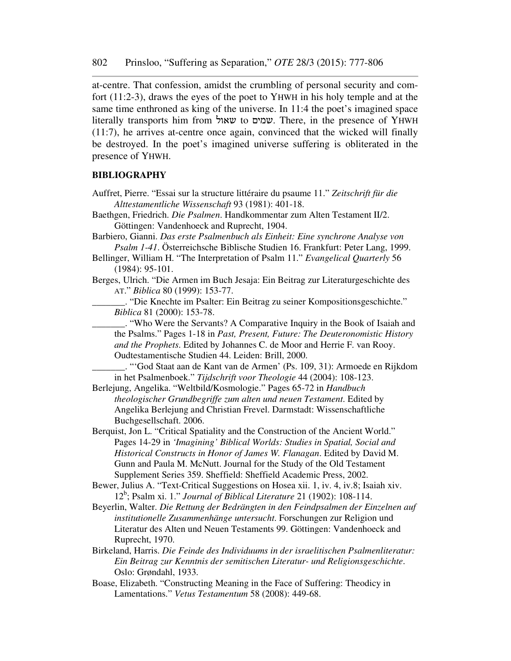at-centre. That confession, amidst the crumbling of personal security and comfort (11:2-3), draws the eyes of the poet to YHWH in his holy temple and at the same time enthroned as king of the universe. In 11:4 the poet's imagined space literally transports him from שאול to שמים. There, in the presence of YHWH (11:7), he arrives at-centre once again, convinced that the wicked will finally be destroyed. In the poet's imagined universe suffering is obliterated in the presence of YHWH.

#### **BIBLIOGRAPHY**

- Auffret, Pierre. "Essai sur la structure littéraire du psaume 11." *Zeitschrift für die Alttestamentliche Wissenschaft* 93 (1981): 401-18.
- Baethgen, Friedrich. *Die Psalmen*. Handkommentar zum Alten Testament II/2. Göttingen: Vandenhoeck and Ruprecht, 1904.

Barbiero, Gianni. *Das erste Psalmenbuch als Einheit: Eine synchrone Analyse von Psalm 1-41*. Österreichsche Biblische Studien 16. Frankfurt: Peter Lang, 1999.

Bellinger, William H. "The Interpretation of Psalm 11." *Evangelical Quarterly* 56 (1984): 95-101.

Berges, Ulrich. "Die Armen im Buch Jesaja: Ein Beitrag zur Literaturgeschichte des AT." *Biblica* 80 (1999): 153-77.

\_\_\_\_\_\_\_. "Die Knechte im Psalter: Ein Beitrag zu seiner Kompositionsgeschichte." *Biblica* 81 (2000): 153-78.

\_\_\_\_\_\_\_. "Who Were the Servants? A Comparative Inquiry in the Book of Isaiah and the Psalms." Pages 1-18 in *Past, Present, Future: The Deuteronomistic History and the Prophets*. Edited by Johannes C. de Moor and Herrie F. van Rooy. Oudtestamentische Studien 44. Leiden: Brill, 2000.

\_\_\_\_\_\_\_. "'God Staat aan de Kant van de Armen' (Ps. 109, 31): Armoede en Rijkdom in het Psalmenboek." *Tijdschrift voor Theologie* 44 (2004): 108-123.

Berlejung, Angelika. "Weltbild/Kosmologie." Pages 65-72 in *Handbuch theologischer Grundbegriffe zum alten und neuen Testament*. Edited by Angelika Berlejung and Christian Frevel. Darmstadt: Wissenschaftliche Buchgesellschaft. 2006.

Berquist, Jon L. "Critical Spatiality and the Construction of the Ancient World." Pages 14-29 in *'Imagining' Biblical Worlds: Studies in Spatial, Social and Historical Constructs in Honor of James W. Flanagan*. Edited by David M. Gunn and Paula M. McNutt. Journal for the Study of the Old Testament Supplement Series 359. Sheffield: Sheffield Academic Press, 2002.

Bewer, Julius A. "Text-Critical Suggestions on Hosea xii. 1, iv. 4, iv.8; Isaiah xiv. 12<sup>b</sup> ; Psalm xi. 1." *Journal of Biblical Literature* 21 (1902): 108-114.

- Beyerlin, Walter. *Die Rettung der Bedrängten in den Feindpsalmen der Einzelnen auf institutionelle Zusammenhänge untersucht*. Forschungen zur Religion und Literatur des Alten und Neuen Testaments 99. Göttingen: Vandenhoeck and Ruprecht, 1970.
- Birkeland, Harris. *Die Feinde des Individuums in der israelitischen Psalmenliteratur: Ein Beitrag zur Kenntnis der semitischen Literatur- und Religionsgeschichte*. Oslo: Grøndahl, 1933.
- Boase, Elizabeth. "Constructing Meaning in the Face of Suffering: Theodicy in Lamentations." *Vetus Testamentum* 58 (2008): 449-68.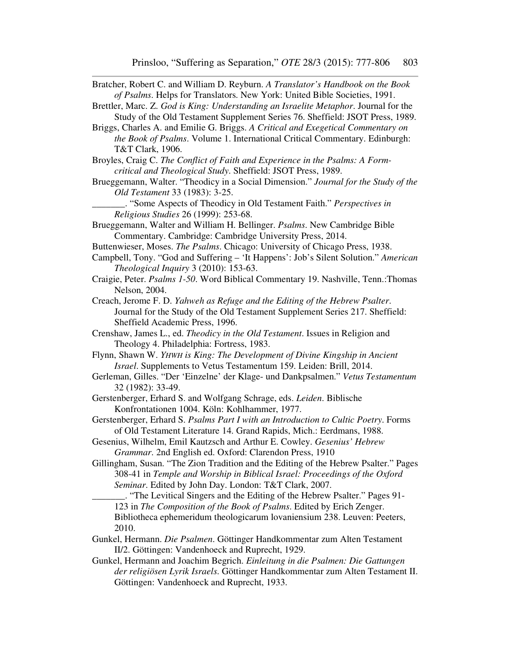Bratcher, Robert C. and William D. Reyburn. *A Translator's Handbook on the Book of Psalms*. Helps for Translators. New York: United Bible Societies, 1991.

Brettler, Marc. Z. *God is King: Understanding an Israelite Metaphor*. Journal for the Study of the Old Testament Supplement Series 76. Sheffield: JSOT Press, 1989.

- Briggs, Charles A. and Emilie G. Briggs. *A Critical and Exegetical Commentary on the Book of Psalms*. Volume 1. International Critical Commentary. Edinburgh: T&T Clark, 1906.
- Broyles, Craig C. *The Conflict of Faith and Experience in the Psalms: A Formcritical and Theological Study*. Sheffield: JSOT Press, 1989.
- Brueggemann, Walter. "Theodicy in a Social Dimension." *Journal for the Study of the Old Testament* 33 (1983): 3-25.

\_\_\_\_\_\_\_. "Some Aspects of Theodicy in Old Testament Faith." *Perspectives in Religious Studies* 26 (1999): 253-68.

Brueggemann, Walter and William H. Bellinger. *Psalms*. New Cambridge Bible Commentary. Cambridge: Cambridge University Press, 2014.

Buttenwieser, Moses. *The Psalms*. Chicago: University of Chicago Press, 1938.

Campbell, Tony. "God and Suffering – 'It Happens': Job's Silent Solution." *American Theological Inquiry* 3 (2010): 153-63.

- Craigie, Peter. *Psalms 1-50*. Word Biblical Commentary 19. Nashville, Tenn.:Thomas Nelson, 2004.
- Creach, Jerome F. D. *Yahweh as Refuge and the Editing of the Hebrew Psalter*. Journal for the Study of the Old Testament Supplement Series 217. Sheffield: Sheffield Academic Press, 1996.
- Crenshaw, James L., ed. *Theodicy in the Old Testament*. Issues in Religion and Theology 4. Philadelphia: Fortress, 1983.
- Flynn, Shawn W. *YHWH is King: The Development of Divine Kingship in Ancient Israel*. Supplements to Vetus Testamentum 159. Leiden: Brill, 2014.
- Gerleman, Gilles. "Der 'Einzelne' der Klage- und Dankpsalmen." *Vetus Testamentum* 32 (1982): 33-49.
- Gerstenberger, Erhard S. and Wolfgang Schrage, eds. *Leiden*. Biblische Konfrontationen 1004. Köln: Kohlhammer, 1977.
- Gerstenberger, Erhard S. *Psalms Part I with an Introduction to Cultic Poetry*. Forms of Old Testament Literature 14. Grand Rapids, Mich.: Eerdmans, 1988.
- Gesenius, Wilhelm, Emil Kautzsch and Arthur E. Cowley. *Gesenius' Hebrew Grammar*. 2nd English ed. Oxford: Clarendon Press, 1910
- Gillingham, Susan. "The Zion Tradition and the Editing of the Hebrew Psalter." Pages 308-41 in *Temple and Worship in Biblical Israel: Proceedings of the Oxford Seminar*. Edited by John Day. London: T&T Clark, 2007.
	- \_\_\_\_\_\_\_. "The Levitical Singers and the Editing of the Hebrew Psalter." Pages 91- 123 in *The Composition of the Book of Psalms*. Edited by Erich Zenger. Bibliotheca ephemeridum theologicarum lovaniensium 238. Leuven: Peeters, 2010.
- Gunkel, Hermann. *Die Psalmen*. Göttinger Handkommentar zum Alten Testament II/2. Göttingen: Vandenhoeck and Ruprecht, 1929.
- Gunkel, Hermann and Joachim Begrich. *Einleitung in die Psalmen: Die Gattungen der religiösen Lyrik Israels*. Göttinger Handkommentar zum Alten Testament II. Göttingen: Vandenhoeck and Ruprecht, 1933.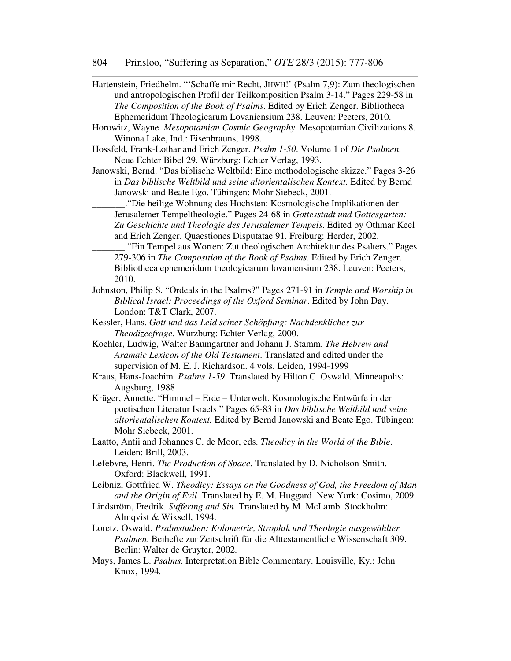- Hartenstein, Friedhelm. "'Schaffe mir Recht, JHWH!' (Psalm 7,9): Zum theologischen und antropologischen Profil der Teilkomposition Psalm 3-14." Pages 229-58 in *The Composition of the Book of Psalms*. Edited by Erich Zenger. Bibliotheca Ephemeridum Theologicarum Lovaniensium 238. Leuven: Peeters, 2010.
- Horowitz, Wayne. *Mesopotamian Cosmic Geography*. Mesopotamian Civilizations 8. Winona Lake, Ind.: Eisenbrauns, 1998.
- Hossfeld, Frank-Lothar and Erich Zenger. *Psalm 1-50*. Volume 1 of *Die Psalmen*. Neue Echter Bibel 29. Würzburg: Echter Verlag, 1993.
- Janowski, Bernd. "Das biblische Weltbild: Eine methodologische skizze." Pages 3-26 in *Das biblische Weltbild und seine altorientalischen Kontext.* Edited by Bernd Janowski and Beate Ego. Tübingen: Mohr Siebeck, 2001.
	- \_\_\_\_\_\_\_."Die heilige Wohnung des Höchsten: Kosmologische Implikationen der Jerusalemer Tempeltheologie." Pages 24-68 in *Gottesstadt und Gottesgarten: Zu Geschichte und Theologie des Jerusalemer Tempels*. Edited by Othmar Keel and Erich Zenger. Quaestiones Disputatae 91. Freiburg: Herder, 2002.
- \_\_\_\_\_\_\_."Ein Tempel aus Worten: Zut theologischen Architektur des Psalters." Pages 279-306 in *The Composition of the Book of Psalms*. Edited by Erich Zenger. Bibliotheca ephemeridum theologicarum lovaniensium 238. Leuven: Peeters, 2010.
- Johnston, Philip S. "Ordeals in the Psalms?" Pages 271-91 in *Temple and Worship in Biblical Israel: Proceedings of the Oxford Seminar*. Edited by John Day. London: T&T Clark, 2007.
- Kessler, Hans. *Gott und das Leid seiner Schöpfung: Nachdenkliches zur Theodizeefrage*. Würzburg: Echter Verlag, 2000.
- Koehler, Ludwig, Walter Baumgartner and Johann J. Stamm. *The Hebrew and Aramaic Lexicon of the Old Testament*. Translated and edited under the supervision of M. E. J. Richardson. 4 vols. Leiden, 1994-1999
- Kraus, Hans-Joachim. *Psalms 1-59*. Translated by Hilton C. Oswald. Minneapolis: Augsburg, 1988.
- Krüger, Annette. "Himmel Erde Unterwelt. Kosmologische Entwürfe in der poetischen Literatur Israels." Pages 65-83 in *Das biblische Weltbild und seine altorientalischen Kontext.* Edited by Bernd Janowski and Beate Ego. Tübingen: Mohr Siebeck, 2001.
- Laatto, Antii and Johannes C. de Moor, eds. *Theodicy in the World of the Bible*. Leiden: Brill, 2003.
- Lefebvre, Henri. *The Production of Space*. Translated by D. Nicholson-Smith. Oxford: Blackwell, 1991.
- Leibniz, Gottfried W. *Theodicy: Essays on the Goodness of God, the Freedom of Man and the Origin of Evil*. Translated by E. M. Huggard. New York: Cosimo, 2009.
- Lindström, Fredrik. *Suffering and Sin*. Translated by M. McLamb. Stockholm: Almqvist & Wiksell, 1994.
- Loretz, Oswald. *Psalmstudien: Kolometrie, Strophik und Theologie ausgewählter Psalmen*. Beihefte zur Zeitschrift für die Alttestamentliche Wissenschaft 309. Berlin: Walter de Gruyter, 2002.
- Mays, James L. *Psalms*. Interpretation Bible Commentary. Louisville, Ky.: John Knox, 1994.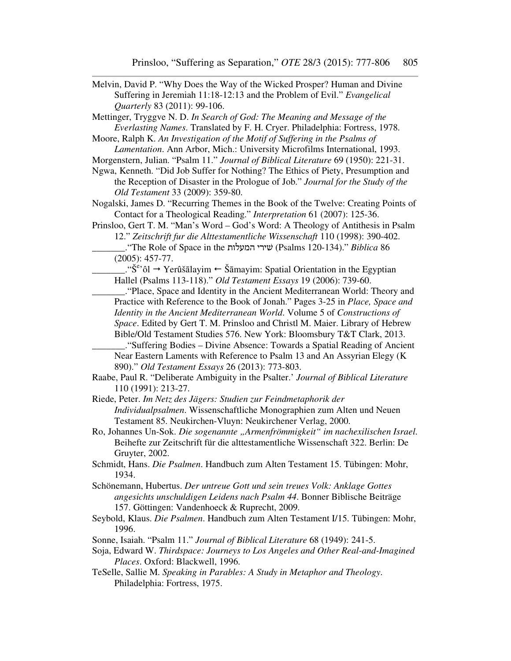- Melvin, David P. "Why Does the Way of the Wicked Prosper? Human and Divine Suffering in Jeremiah 11:18-12:13 and the Problem of Evil." *Evangelical Quarterly* 83 (2011): 99-106. Mettinger, Tryggve N. D. *In Search of God: The Meaning and Message of the Everlasting Names*. Translated by F. H. Cryer. Philadelphia: Fortress, 1978. Moore, Ralph K. *An Investigation of the Motif of Suffering in the Psalms of Lamentation*. Ann Arbor, Mich.: University Microfilms International, 1993. Morgenstern, Julian. "Psalm 11." *Journal of Biblical Literature* 69 (1950): 221-31. Ngwa, Kenneth. "Did Job Suffer for Nothing? The Ethics of Piety, Presumption and the Reception of Disaster in the Prologue of Job." *Journal for the Study of the Old Testament* 33 (2009): 359-80. Nogalski, James D. "Recurring Themes in the Book of the Twelve: Creating Points of Contact for a Theological Reading." *Interpretation* 61 (2007): 125-36. Prinsloo, Gert T. M. "Man's Word – God's Word: A Theology of Antithesis in Psalm 12." *Zeitschrift fur die Alttestamentliche Wissenschaft* 110 (1998): 390-402. \_\_\_\_\_\_\_."The Role of Space in the המעלות שׁירי) Psalms 120-134)." *Biblica* 86 (2005): 457-77.  $\frac{1}{1-\frac{1}{\sqrt{6}}}\$   $\rightarrow$  Yerûšālayim  $\leftarrow$  Šāmayim: Spatial Orientation in the Egyptian Hallel (Psalms 113-118)." *Old Testament Essays* 19 (2006): 739-60. \_\_\_\_\_\_\_."Place, Space and Identity in the Ancient Mediterranean World: Theory and Practice with Reference to the Book of Jonah." Pages 3-25 in *Place, Space and Identity in the Ancient Mediterranean World*. Volume 5 of *Constructions of Space*. Edited by Gert T. M. Prinsloo and Christl M. Maier. Library of Hebrew Bible/Old Testament Studies 576. New York: Bloomsbury T&T Clark, 2013. \_\_\_\_\_\_\_."Suffering Bodies – Divine Absence: Towards a Spatial Reading of Ancient Near Eastern Laments with Reference to Psalm 13 and An Assyrian Elegy (K 890)." *Old Testament Essays* 26 (2013): 773-803. Raabe, Paul R. "Deliberate Ambiguity in the Psalter.' *Journal of Biblical Literature* 110 (1991): 213-27. Riede, Peter. *Im Netz des Jägers: Studien zur Feindmetaphorik der Individualpsalmen*. Wissenschaftliche Monographien zum Alten und Neuen Testament 85. Neukirchen-Vluyn: Neukirchener Verlag, 2000. Ro, Johannes Un-Sok. *Die sogenannte "Armenfrömmigkeit" im nachexilischen Israel*. Beihefte zur Zeitschrift für die alttestamentliche Wissenschaft 322. Berlin: De Gruyter, 2002. Schmidt, Hans. *Die Psalmen*. Handbuch zum Alten Testament 15. Tübingen: Mohr, 1934. Schönemann, Hubertus. *Der untreue Gott und sein treues Volk: Anklage Gottes angesichts unschuldigen Leidens nach Psalm 44*. Bonner Biblische Beiträge 157. Göttingen: Vandenhoeck & Ruprecht, 2009. Seybold, Klaus. *Die Psalmen*. Handbuch zum Alten Testament I/15. Tübingen: Mohr, 1996.
- Sonne, Isaiah. "Psalm 11." *Journal of Biblical Literature* 68 (1949): 241-5.
- Soja, Edward W. *Thirdspace: Journeys to Los Angeles and Other Real-and-Imagined Places*. Oxford: Blackwell, 1996.
- TeSelle, Sallie M. *Speaking in Parables: A Study in Metaphor and Theology*. Philadelphia: Fortress, 1975.